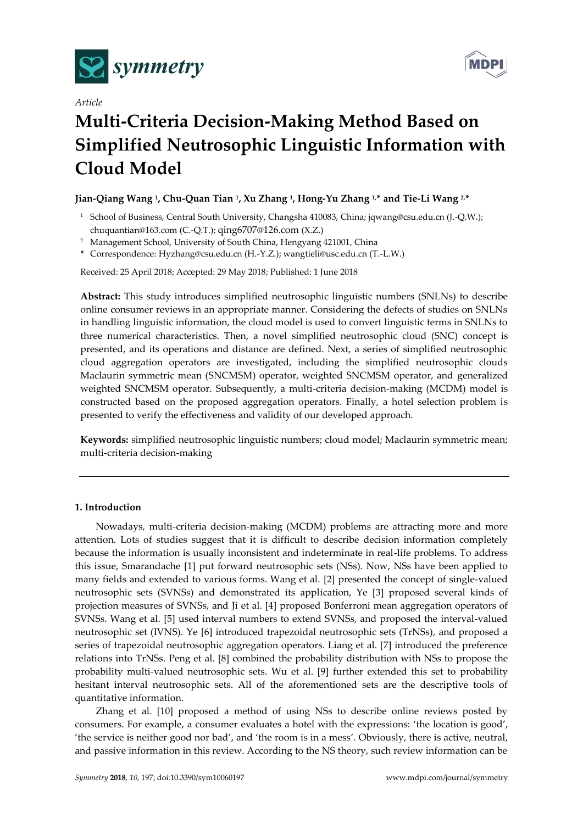



# *Article*

# **Multi-Criteria Decision-Making Method Based on Simplified Neutrosophic Linguistic Information with Cloud Model**

# **Jian-Qiang Wang <sup>1</sup> , Chu-Quan Tian <sup>1</sup> , Xu Zhang <sup>1</sup> , Hong-Yu Zhang 1,\* and Tie-Li Wang 2,\***

- <sup>1</sup> School of Business, Central South University, Changsha 410083, China; jqwang@csu.edu.cn (J.-Q.W.); chuquantian@163.com (C.-Q.T.); [qing6707@126.com](mailto:qing6707@126.com) (X.Z.)
- <sup>2</sup> Management School, University of South China, Hengyang 421001, China
- **\*** Correspondence: Hyzhang@csu.edu.cn (H.-Y.Z.); wangtieli@usc.edu.cn (T.-L.W.)

Received: 25 April 2018; Accepted: 29 May 2018; Published: 1 June 2018

**Abstract:** This study introduces simplified neutrosophic linguistic numbers (SNLNs) to describe online consumer reviews in an appropriate manner. Considering the defects of studies on SNLNs in handling linguistic information, the cloud model is used to convert linguistic terms in SNLNs to three numerical characteristics. Then, a novel simplified neutrosophic cloud (SNC) concept is presented, and its operations and distance are defined. Next, a series of simplified neutrosophic cloud aggregation operators are investigated, including the simplified neutrosophic clouds Maclaurin symmetric mean (SNCMSM) operator, weighted SNCMSM operator, and generalized weighted SNCMSM operator. Subsequently, a multi-criteria decision-making (MCDM) model is constructed based on the proposed aggregation operators. Finally, a hotel selection problem is presented to verify the effectiveness and validity of our developed approach.

**Keywords:** simplified neutrosophic linguistic numbers; cloud model; Maclaurin symmetric mean; multi-criteria decision-making

# **1. Introduction**

Nowadays, multi-criteria decision-making (MCDM) problems are attracting more and more attention. Lots of studies suggest that it is difficult to describe decision information completely because the information is usually inconsistent and indeterminate in real-life problems. To address this issue, Smarandache [1] put forward neutrosophic sets (NSs). Now, NSs have been applied to many fields and extended to various forms. Wang et al. [2] presented the concept of single-valued neutrosophic sets (SVNSs) and demonstrated its application, Ye [3] proposed several kinds of projection measures of SVNSs, and Ji et al. [4] proposed Bonferroni mean aggregation operators of SVNSs. Wang et al. [5] used interval numbers to extend SVNSs, and proposed the interval-valued neutrosophic set (IVNS). Ye [6] introduced trapezoidal neutrosophic sets (TrNSs), and proposed a series of trapezoidal neutrosophic aggregation operators. Liang et al. [7] introduced the preference relations into TrNSs. Peng et al. [8] combined the probability distribution with NSs to propose the probability multi-valued neutrosophic sets. Wu et al. [9] further extended this set to probability hesitant interval neutrosophic sets. All of the aforementioned sets are the descriptive tools of quantitative information.

Zhang et al. [10] proposed a method of using NSs to describe online reviews posted by consumers. For example, a consumer evaluates a hotel with the expressions: 'the location is good', 'the service is neither good nor bad', and 'the room is in a mess'. Obviously, there is active, neutral, and passive information in this review. According to the NS theory, such review information can be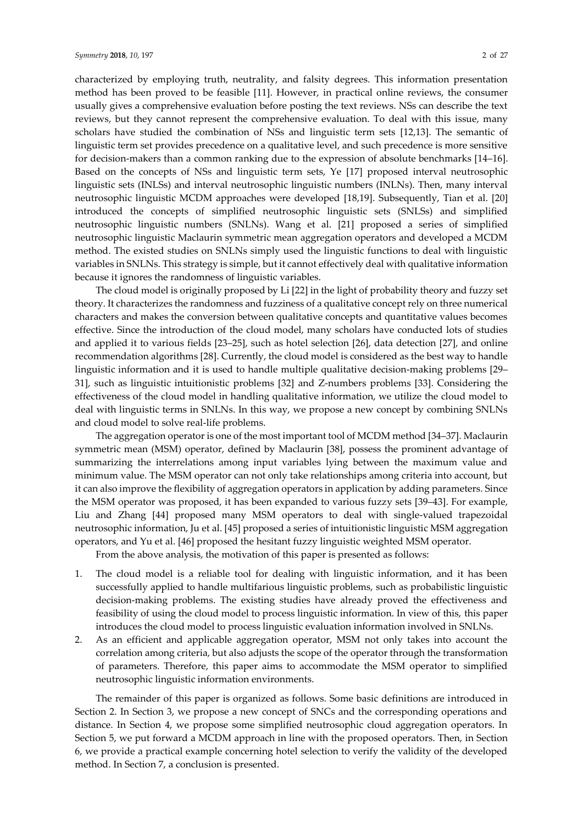characterized by employing truth, neutrality, and falsity degrees. This information presentation method has been proved to be feasible [11]. However, in practical online reviews, the consumer usually gives a comprehensive evaluation before posting the text reviews. NSs can describe the text reviews, but they cannot represent the comprehensive evaluation. To deal with this issue, many scholars have studied the combination of NSs and linguistic term sets [12,13]. The semantic of linguistic term set provides precedence on a qualitative level, and such precedence is more sensitive for decision-makers than a common ranking due to the expression of absolute benchmarks [14–16]. Based on the concepts of NSs and linguistic term sets, Ye [17] proposed interval neutrosophic linguistic sets (INLSs) and interval neutrosophic linguistic numbers (INLNs). Then, many interval neutrosophic linguistic MCDM approaches were developed [18,19]. Subsequently, Tian et al. [20] introduced the concepts of simplified neutrosophic linguistic sets (SNLSs) and simplified neutrosophic linguistic numbers (SNLNs). Wang et al. [21] proposed a series of simplified neutrosophic linguistic Maclaurin symmetric mean aggregation operators and developed a MCDM method. The existed studies on SNLNs simply used the linguistic functions to deal with linguistic variables in SNLNs. This strategy is simple, but it cannot effectively deal with qualitative information because it ignores the randomness of linguistic variables.

The cloud model is originally proposed by Li [22] in the light of probability theory and fuzzy set theory. It characterizes the randomness and fuzziness of a qualitative concept rely on three numerical characters and makes the conversion between qualitative concepts and quantitative values becomes effective. Since the introduction of the cloud model, many scholars have conducted lots of studies and applied it to various fields [23–25], such as hotel selection [26], data detection [27], and online recommendation algorithms [28]. Currently, the cloud model is considered as the best way to handle linguistic information and it is used to handle multiple qualitative decision-making problems [29– 31], such as linguistic intuitionistic problems [32] and Z-numbers problems [33]. Considering the effectiveness of the cloud model in handling qualitative information, we utilize the cloud model to deal with linguistic terms in SNLNs. In this way, we propose a new concept by combining SNLNs and cloud model to solve real-life problems.

The aggregation operator is one of the most important tool of MCDM method [34–37]. Maclaurin symmetric mean (MSM) operator, defined by Maclaurin [38], possess the prominent advantage of summarizing the interrelations among input variables lying between the maximum value and minimum value. The MSM operator can not only take relationships among criteria into account, but it can also improve the flexibility of aggregation operators in application by adding parameters. Since the MSM operator was proposed, it has been expanded to various fuzzy sets [39–43]. For example, Liu and Zhang [44] proposed many MSM operators to deal with single-valued trapezoidal neutrosophic information, Ju et al. [45] proposed a series of intuitionistic linguistic MSM aggregation operators, and Yu et al. [46] proposed the hesitant fuzzy linguistic weighted MSM operator.

From the above analysis, the motivation of this paper is presented as follows:

- 1. The cloud model is a reliable tool for dealing with linguistic information, and it has been successfully applied to handle multifarious linguistic problems, such as probabilistic linguistic decision-making problems. The existing studies have already proved the effectiveness and feasibility of using the cloud model to process linguistic information. In view of this, this paper introduces the cloud model to process linguistic evaluation information involved in SNLNs.
- 2. As an efficient and applicable aggregation operator, MSM not only takes into account the correlation among criteria, but also adjusts the scope of the operator through the transformation of parameters. Therefore, this paper aims to accommodate the MSM operator to simplified neutrosophic linguistic information environments.

The remainder of this paper is organized as follows. Some basic definitions are introduced in Section 2. In Section 3, we propose a new concept of SNCs and the corresponding operations and distance. In Section 4, we propose some simplified neutrosophic cloud aggregation operators. In Section 5, we put forward a MCDM approach in line with the proposed operators. Then, in Section 6, we provide a practical example concerning hotel selection to verify the validity of the developed method. In Section 7, a conclusion is presented.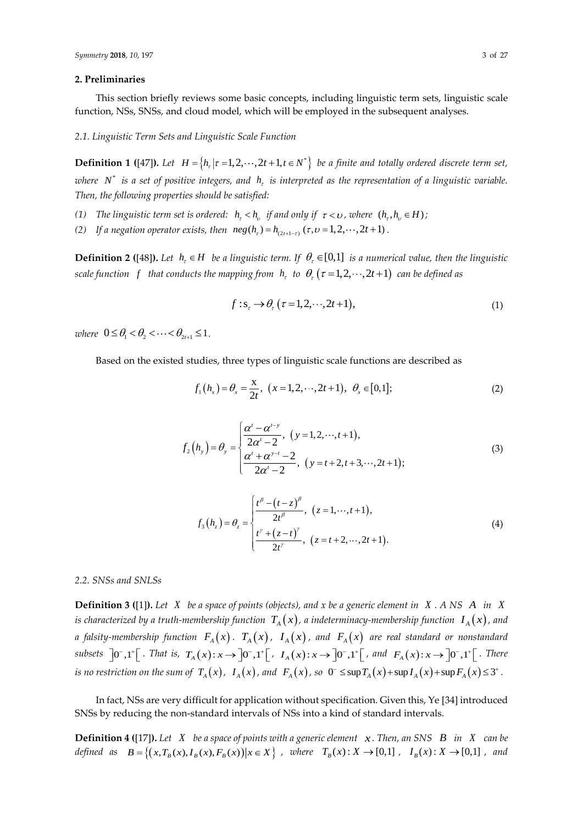## **2. Preliminaries**

This section briefly reviews some basic concepts, including linguistic term sets, linguistic scale function, NSs, SNSs, and cloud model, which will be employed in the subsequent analyses.

*2.1. Linguistic Term Sets and Linguistic Scale Function*

**Definition 1 ([47]).** Let  $H = \{h_r | r = 1, 2, \dots, 2t + 1, t \in N^*\}$  be a finite and totally ordered discrete term set, where  $N^*$  is a set of positive integers, and  $h_{\tau}$  is interpreted as the representation of a linguistic variable. *Then, the following properties should be satisfied:*

(1) The linguistic term set is ordered:  $h<sub>r</sub> < h<sub>v</sub>$  if and only if  $\tau < v$ , where  $(h<sub>r</sub>, h<sub>v</sub> \in H)$ ;

*(2)* If a negation operator exists, then  $neg(h_{\tau}) = h_{(2t+1-\tau)}(\tau, \nu = 1, 2, \dots, 2t+1)$ .

**Definition 2 ([48]).** Let  $h_t \in H$  be a linguistic term. If  $\theta_t \in [0,1]$  is a numerical value, then the linguistic  $s$ cale function  $\,$   $f$   $\,$  that conducts the mapping from  $\,h_{_{\rm r}}\,$  to  $\,\theta_{_{\rm r}}\,(\tau\!=\!1,2,\! \cdots\!,\! 2t\!+\!1)\,$  can be defined as

$$
f: \mathbf{s}_\tau \to \theta_\tau \, (\tau = 1, 2, \cdots, 2t + 1), \tag{1}
$$

 $where \ \ 0 \leq \theta_1 < \theta_2 < \cdots < \theta_{2t+1} \leq 1$ .

Based on the existed studies, three types of linguistic scale functions are described as

$$
f_1(h_x) = \theta_x = \frac{x}{2t}, \ (x = 1, 2, \cdots, 2t + 1), \ \theta_x \in [0, 1];
$$
 (2)

$$
f_2(h_y) = \theta_y = \begin{cases} \frac{\alpha^t - \alpha^{t-y}}{2\alpha^t - 2}, & (y = 1, 2, \dots, t+1), \\ \frac{\alpha^t + \alpha^{y-t} - 2}{2\alpha^t - 2}, & (y = t+2, t+3, \dots, 2t+1); \end{cases}
$$
(3)

$$
f_3(h_z) = \theta_z = \begin{cases} \frac{t^{\beta} - (t - z)^{\beta}}{2t^{\beta}}, & (z = 1, \dots, t + 1), \\ \frac{t^{\gamma} + (z - t)^{\gamma}}{2t^{\gamma}}, & (z = t + 2, \dots, 2t + 1). \end{cases}
$$
(4)

#### *2.2. SNSs and SNLSs*

**Definition 3 ([1]).** Let  $X$  be a space of points (objects), and  $x$  be a generic element in  $X$ . A NS  $A$  in  $X$ is characterized by a truth-membership function  $\; T_{_A}(x)$  , a indeterminacy-membership function  $\; I_{_A}(x)$  , and a falsity-membership function  $\;F_{_A}(x)\;.\; \;T_{_A}(x)\;,\; \;I_{_A}(x)\;$ , and  $\;F_{_A}(x)\;$  are real standard or nonstandard subsets  $]0^-,1^+[$ . That is,  $T_A(x):x\to ]0^-,1^+[$ .  $I_A(x):x\to ]0^-,1^+[$ . and  $F_A(x):x\to ]0^-,1^+[$ . There is no restriction on the sum of  $T_{_A}(x)$ ,  $I_{_A}(x)$ , and  $F_{_A}(x)$ , so  $0^ \leq$   $\sup T_{_A}(x)+\sup I_{_A}(x)+\sup F_{_A}(x)$   $\leq$   $3^+$ .

In fact, NSs are very difficult for application without specification. Given this, Ye [34] introduced SNSs by reducing the non-standard intervals of NSs into a kind of standard intervals.

**Definition 4 ([17]).** Let  $X$  be a space of points with a generic element  $x$ . Then, an SNS  $B$  in  $X$  can be **Definition 4** ([17]). Let  $X$  be a space of points with a generic element  $X$ . Then, an SNS  $B$  in  $X$  can be defined as  $B = \{(x, T_B(x), I_B(x), F_B(x)) | x \in X\}$ , where  $T_B(x) : X \to [0,1]$ ,  $I_B(x) : X \to [0,1]$ , and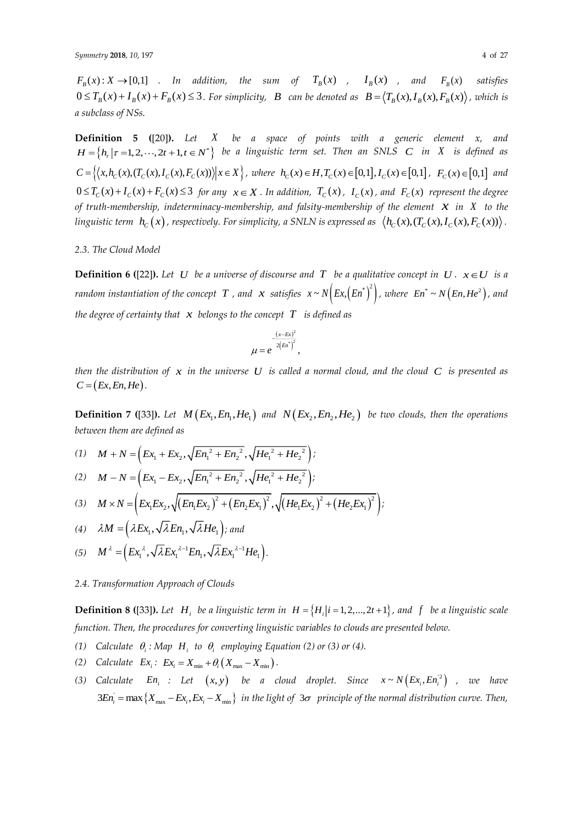$F_B(x) : X \to [0,1]$  *addition, the sum of*  $T_B(x)$ ,  $I_B(x)$ , and  $F_B(x)$ *satisfies*  $0 \le T_B(x) + I_B(x) + F_B(x) \le 3$ . For simplicity, B can be denoted as  $B = \langle T_B(x), I_B(x), F_B(x) \rangle$ , which is *a subclass of NSs.*

**Definition 5 (**[20]**).** *Let X be a space of points with a generic element x, and H*  $=$   $\{h_r | \tau = 1, 2, \cdots, 2t + 1, t \in N^*\}$  be a linguistic term set. Then an SNLS C in X is defined as  $H =$   $\{h_r | \tau = 1, 2, \cdots, 2t + 1, t \in N^*\}$  be a linguistic term set. Then an SNLS C in X is defined as  $C = \left\{ (x, h_C(x), (T_C(x), I_C(x), F_C(x))) \middle| x \in X \right\}$ , where  $h_C(x) \in H, T_C(x) \in [0,1], I_C(x) \in [0,1]$ ,  $F_C(x) \in [0,1]$  and  $0 \le T_c(x) + I_c(x) + F_c(x) \le 3$  for any  $x \in X$ . In addition,  $T_c(x)$ ,  $I_c(x)$ , and  $F_c(x)$  represent the degree *of truth-membership, indeterminacy-membership, and falsity-membership of the element x in X to the*  linguistic term  $\;h_c(x)$  , respectively. For simplicity, a SNLN is expressed as  $\;\big\langle h_c(x), (T_c(x), I_c(x), F_c(x))\big\rangle$  .

#### *2.3. The Cloud Model*

**Definition 6 ([22]).** Let U be a universe of discourse and T be a qualitative concept in  $U$ .  $x \in U$  is a random instantiation of the concept  $|T|$ , and  $|x|$  satisfies  $|x \sim N\Big(Ex, \Big(En^*\Big)^2\Big)$ , where  $|En^* \sim N\Big(En, He^2\Big)$ , and *the degree of certainty that x belongs to the concept T is defined as*

$$
\mu = e^{-\frac{(x-Ex)^2}{2(En^*)^2}},
$$

then the distribution of  $x$  in the universe  $U$  is called a normal cloud, and the cloud  $C$  is presented as  $C = (Ex, En, He)$ .

**Definition** 7 ([33]). Let  $M\left(Ex_1, En_1, He_1\right)$  and  $N\left(Ex_2, En_2, He_2\right)$  be two clouds, then the operations *between them are defined as*

(1) 
$$
M + N = \left( Ex_1 + Ex_2, \sqrt{En_1^2 + En_2^2}, \sqrt{He_1^2 + He_2^2} \right)
$$

(2) 
$$
M - N = (Ex_1 - Ex_2, \sqrt{En_1^2 + En_2^2}, \sqrt{He_1^2 + He_2^2});
$$
  
\n(3)  $M \times N = (Ex_1Ex_2, \sqrt{(En_1Ex_2)^2 + (En_2Ex_1)^2}, \sqrt{(He_1Ex_2)^2 + (He_2Ex_1)^2})$ 

(3) 
$$
M \times N = \left( Ex_1 Ex_2, \sqrt{\left( En_1 Ex_2 \right)^2 + \left( En_2 Ex_1 \right)^2}, \sqrt{\left( He_1 Ex_2 \right)^2 + \left( He_2 Ex_1 \right)^2} \right);
$$

(4) 
$$
\lambda M = (\lambda E x_1, \sqrt{\lambda} E n_1, \sqrt{\lambda} H e_1)
$$
; and

(5) 
$$
M^{\lambda} = (Ex_1^{\lambda}, \sqrt{\lambda}Ex_1^{\lambda-1}En_1, \sqrt{\lambda}Ex_1^{\lambda-1}He_1).
$$

*2.4. Transformation Approach of Clouds*

**Definition 8 ([33]).** Let  $H_i$  be a linguistic term in  $H = \{H_i | i = 1, 2, ..., 2t + 1\}$ , and f be a linguistic scale *function. Then, the procedures for converting linguistic variables to clouds are presented below.*

- (1) Calculate  $\theta_i$ : Map  $H_i$  to  $\theta_i$  employing Equation (2) or (3) or (4).
- (2) *Calculate*  $Ex_i$ :  $Ex_i = X_{\min} + \theta_i (X_{\max} X_{\min}).$
- (3) Calculate  $En_i$  : Let  $(x, y)$  be a cloud droplet. Since  $x \sim N(Ex_i, En_i^2)$  , we have  $\{X_{\text{max}} - Ex_i, Ex_i - X_{\text{min}}\}$  $3En_i = \max\left\{X_{\max} - Ex_i, Ex_i - X_{\min}\right\}$  in the light of  $3\sigma$  principle of the normal distribution curve. Then,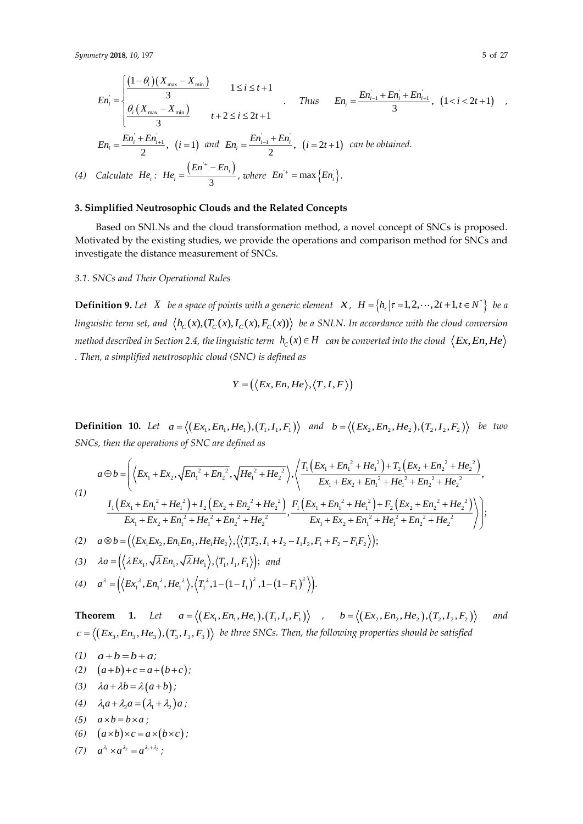*(4) Calculate*

$$
En_{i} = \begin{cases} \frac{(1-\theta_{i})(X_{\max} - X_{\min})}{3} & 1 \leq i \leq t+1 \\ \frac{\theta_{i}(X_{\max} - X_{\min})}{3} & t+2 \leq i \leq 2t+1 \end{cases} \quad \text{Thus} \quad En_{i} = \frac{En_{i-1} + En_{i} + En_{i+1}}{3}, \ (1 < i < 2t+1) \quad \text{or} \\ \text{in } En_{i} = \frac{En_{i} + En_{i+1}}{2}, \ (i = 1) \text{ and } En_{i} = \frac{En_{i-1} + En_{i}}{2}, \ (i = 2t+1) \text{ can be obtained.} \end{cases}
$$
\nCalculate  $He_{i}: He_{i} = \frac{(En^{+} - En_{i})}{3}$ , where  $En^{+} = \max\{En_{i}\}.$ 

# **3. Simplified Neutrosophic Clouds and the Related Concepts**

Based on SNLNs and the cloud transformation method, a novel concept of SNCs is proposed. Motivated by the existing studies, we provide the operations and comparison method for SNCs and investigate the distance measurement of SNCs.

# *3.1. SNCs and Their Operational Rules*

**Definition 9.** Let  $X$  be a space of points with a generic element  $X$ ,  $H = \{h_r | r = 1, 2, \dots, 2t + 1, t \in N^*\}$  be a linguistic term set, and  $\langle h_c(x), (T_c(x), I_c(x), F_c(x)) \rangle$  be a SNLN. In accordance with the cloud conversion method described in Section 2.4, the linguistic term  $\ h_{_{\rm C}}(x)\!\in\!H_-$  can be converted into the cloud  $\ \ \langle Ex,En,He$ *. Then, a simplified neutrosophic cloud (SNC) is defined as*

$$
Y = (\langle Ex, En, He \rangle, \langle T, I, F \rangle)
$$

**Definition 10.** Let  $a = \langle (Ex_1, En_1, He_1), (T_1, I_1, F_1) \rangle$  and  $b = \langle (Ex_2, En_2, He_2), (T_2, I_2, F_2) \rangle$  be two *SNCs, then the operations of SNC are defined as*

$$
a \oplus b = \left( \left\langle Ex_1 + Ex_2, \sqrt{En_1^2 + En_2^2}, \sqrt{He_1^2 + He_2^2} \right\rangle, \left\langle \frac{T_1 \left( Ex_1 + En_1^2 + He_1^2 \right) + T_2 \left( Ex_2 + En_2^2 + He_2^2 \right)}{Ex_1 + Ex_2 + En_1^2 + He_1^2 + En_2^2 + He_2^2}, \right\rangle
$$
\n
$$
(1)
$$
\n
$$
\frac{I_1 \left( Ex_1 + En_1^2 + He_1^2 \right) + I_2 \left( Ex_2 + En_2^2 + He_2^2 \right)}{Ex_1 + Ex_2 + En_1^2 + He_1^2 + En_2^2 + He_2^2}, \frac{F_1 \left( Ex_1 + En_1^2 + He_1^2 \right) + F_2 \left( Ex_2 + En_2^2 + He_2^2 \right)}{Ex_1 + Ex_2 + En_1^2 + He_2^2 + He_2^2}, \frac{F_1 \left( Ex_1 + En_1^2 + He_1^2 \right) + F_2 \left( Ex_2 + En_2^2 + He_2^2 \right)}{Ex_1 + Ex_2 + En_1^2 + He_1^2 + En_2^2 + He_2^2} \right);
$$
\n
$$
(2)
$$
\n
$$
a \otimes b = \left( \left\langle Ex_1 Ex_2, En_1 En_2, He_1 He_2 \right\rangle, \left\langle \left\langle T_1 T_2, I_1 + I_2 - I_1 I_2, F_1 + F_2 - F_1 F_2 \right\rangle \right);
$$

$$
(2) \quad a \otimes b = \left( \left\langle Ex_1 Ex_2, En_1 En_2, He_1 He_2 \right\rangle, \left\langle \left\langle T_1 T_2, I_1 + I_2 - I_1 I_2, F_1 + F_2 - F_1 F_2 \right\rangle \right\rangle \right);
$$

$$
(3) \quad \lambda a = \left( \langle \lambda Ex_1, \sqrt{\lambda En_1}, \sqrt{\lambda He_1} \rangle, \langle T_1, I_1, F_1 \rangle \right); \text{ and}
$$

(4) 
$$
a^{\lambda} = (\langle \lambda E x_1, \lambda \lambda E n_1, \lambda E P_1 \rangle, \langle T_1, T_1, T_1 \rangle), \text{ and}
$$
  
(4) 
$$
a^{\lambda} = (\langle E x_1^{\lambda}, E n_1^{\lambda}, H e_1^{\lambda} \rangle, \langle T_1^{\lambda}, 1 - (1 - I_1)^{\lambda}, 1 - (1 - F_1)^{\lambda} \rangle).
$$

**Theorem** 1. Let  $a = \langle (Ex_1, En_1, He_1), (T_1, I_1, F_1) \rangle$ ,  $b = \langle (Ex_2, En_2, He_2), (T_2, I_2, F_2) \rangle$ *and*   $c = \langle (Ex_3, En_3, He_3), (T_3, I_3, F_3) \rangle$  be three SNCs. Then, the following properties should be satisfied

(1) 
$$
a+b=b+a;
$$
  
\n(2)  $(a+b)+c=a+(b))$ 

- (2)  $(a+b)+c = a+(b+c);$
- (3)  $\lambda a + \lambda b = \lambda (a+b);$
- (4)  $\lambda_1 a + \lambda_2 a = (\lambda_1 + \lambda_2) a;$

$$
(5) \quad a \times b = b \times a \; ;
$$

(6)  $(a \times b) \times c = a \times (b \times c);$ 

$$
(7) \quad a^{\lambda_1} \times a^{\lambda_2} = a^{\lambda_1 + \lambda_2} \, ;
$$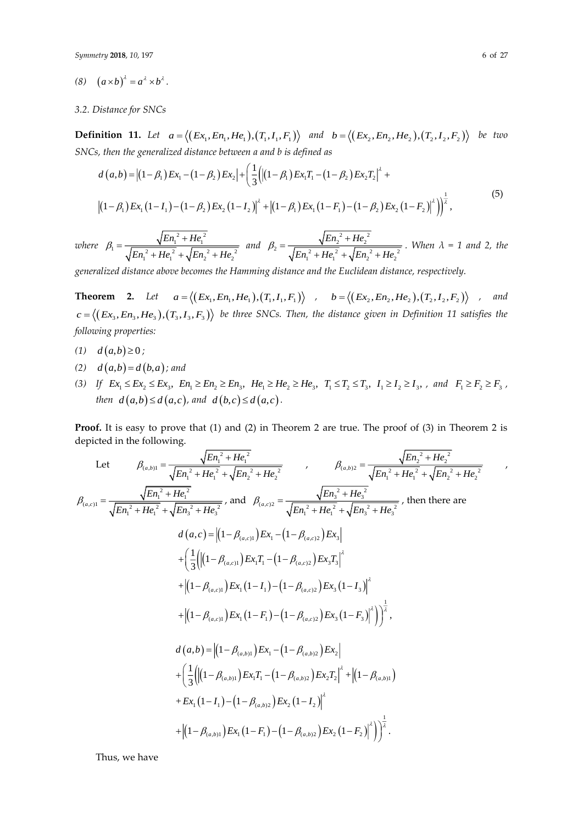$$
(8) \quad (a \times b)^{\lambda} = a^{\lambda} \times b^{\lambda}.
$$

#### *3.2. Distance for SNCs*

**Definition 11.** Let  $a = \langle (Ex_1, En_1, He_1), (T_1, I_1, F_1) \rangle$  and  $b = \langle (Ex_2, En_2, He_2), (T_2, I_2, F_2) \rangle$  be two *SNCs, then the generalized distance between a and b is defined as*

$$
d(a,b) = |(1-\beta_1)Ex_1 - (1-\beta_2)Ex_2| + \left(\frac{1}{3} \left( |(1-\beta_1)Ex_1T_1 - (1-\beta_2)Ex_2T_2|^2 + |(1-\beta_1)Ex_1(1-I_1) - (1-\beta_2)Ex_2(1-I_2)|^2 + |(1-\beta_1)Ex_1(1-I_1) - (1-\beta_2)Ex_2(1-I_2)|^2 + |(1-\beta_1)Ex_1(1-I_1) - (1-\beta_2)Ex_2(1-I_2)|^2 \right) \right)^{\frac{1}{2}},
$$
\n(5)

*where*   $B_1 = \frac{\sqrt{E n_1^2 + He_1^2}}{\sqrt{E n_1^2 + He_1^2} + \sqrt{E n_2^2 + He_2^2}}$  $En_1^2 + He$  $\beta_1 = \frac{\sqrt{E n_1^2 + He_1^2}}{\sqrt{E n_1^2 + He_1^2} + \sqrt{E n_2^2 + He_2^2}}$  and  $B_2 = \frac{\sqrt{E{n_2}^2 + He_2^2}}{\sqrt{E{n_1}^2 + He_1^2} + \sqrt{E{n_2}^2 + He_2^2}}.$  $En_2^2 + He$  $\beta_2 = \frac{\sqrt{E n_2^2 + H e_2^2}}{\sqrt{E n_1^2 + H e_1^2} + \sqrt{E n_2^2 + H e_2^2}}$ . When  $\lambda = 1$  and 2, the

*generalized distance above becomes the Hamming distance and the Euclidean distance, respectively.*

**Theorem 2.** Let  $a = \langle (Ex_1, En_1, He_1), (T_1, I_1, F_1) \rangle$ ,  $b = \langle (Ex_2, En_2, He_2), (T_2, I_2, F_2) \rangle$ *, and*   $c = \langle (Ex_3, En_3, He_3), (T_3, I_3, F_3) \rangle$  be three SNCs. Then, the distance given in Definition 11 satisfies the *following properties:*

- $d(a,b) \ge 0;$
- *(2)*  $d(a,b) = d(b,a)$ ; and
- (3) If  $Ex_1 \leq Ex_2 \leq Ex_3$ ,  $En_1 \geq En_2 \geq En_3$ ,  $He_1 \geq He_2 \geq He_3$ ,  $T_1 \leq T_2 \leq T_3$ ,  $I_1 \geq I_2 \geq I_3$ , and  $F_1 \geq F_2 \geq F_3$ , *then*  $d(a,b) \leq d(a,c)$ , and  $d(b,c) \leq d(a,c)$ .

**Proof.** It is easy to prove that (1) and (2) in Theorem 2 are true. The proof of (3) in Theorem 2 is depicted in the following.

Let 
$$
\beta_{(a,b)} = \frac{\sqrt{En_i^2 + He_i^2}}{\sqrt{En_i^2 + He_i^2} + \sqrt{En_2^2 + He_2^2}}
$$
,  $\beta_{(a,b)} = \frac{\sqrt{En_i^2 + He_i^2}}{\sqrt{En_i^2 + He_i^2} + \sqrt{En_2^2 + He_2^2}}$ ,  $\beta_{(a,c)} = \frac{\sqrt{En_i^2 + He_i^2}}{\sqrt{En_i^2 + He_i^2} + \sqrt{En_2^2 + He_2^2}}$ , and  $\beta_{(a,c)} = \frac{\sqrt{En_i^2 + He_i^2}}{\sqrt{En_i^2 + He_i^2} + \sqrt{En_2^2 + He_2^2}}$ , then there are  $d(a, c) = |(1 - \beta_{(a,c)}) E x_1 - (1 - \beta_{(a,c)}) E x_3| + \left(\frac{1}{3} \left( |(1 - \beta_{(a,c)}) E x_1 T_1 - (1 - \beta_{(a,c)}) E x_3 T_3 \right)^2 + |(1 - \beta_{(a,c)}) E x_1 (1 - I_1) - (1 - \beta_{(a,c)}) E x_3 (1 - I_3)|^2 + |(1 - \beta_{(a,c)}) E x_1 (1 - I_1) - (1 - \beta_{(a,c)}) E x_3 (1 - I_3)|^2 + \left| (1 - \beta_{(a,c)}) E x_1 (1 - I_1) - (1 - \beta_{(a,c)}) E x_2 (1 - I_3)|^2 \right| + \left| (1 - \beta_{(a,b)} E x_1 (1 - I_1) - (1 - \beta_{(a,b)}) E x_2 \right| + \left| \frac{1}{3} ( |(1 - \beta_{(a,b)}) E x_1 T_1 - (1 - \beta_{(a,b)}) E x_2 T_2 |^2 + |(1 - \beta_{(a,b)}) E x_1 (1 - I_1) - (1 - \beta_{(a,b)}) E x_2 (1 - I_2)|^2 + \left| (1 - \beta_{(a,b)}) E x_1 (1 - I_1) - (1 - \beta_{(a,b)}) E x_2 (1 - I_2) \right|^2 + \left| (1 - \beta_{(a,b)}) E x_1 (1 - I_1) - (1 - \beta_{(a,b)}) E x_2 (1 - I_2) \right|^2 \right)$ 

Thus, we have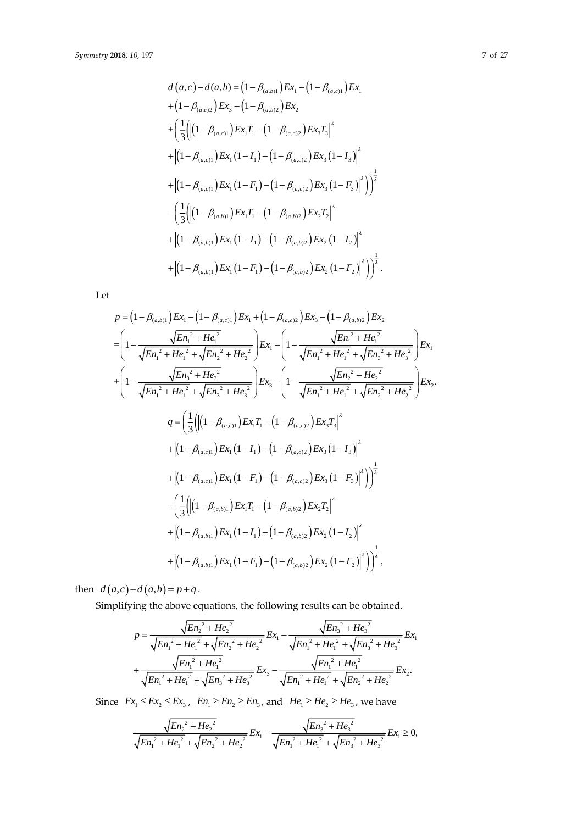$$
d(a,c) - d(a,b) = (1 - \beta_{(a,b)1})Ex_1 - (1 - \beta_{(a,c)1})Ex_1
$$
  
+ 
$$
(1 - \beta_{(a,c)2})Ex_3 - (1 - \beta_{(a,b)2})Ex_2
$$
  
+ 
$$
\left(\frac{1}{3} \left( \left| (1 - \beta_{(a,c)1})Ex_1T_1 - (1 - \beta_{(a,c)2})Ex_3T_3 \right|^2 \right.\right.
$$
  
+ 
$$
\left| (1 - \beta_{(a,c)1})Ex_1(1 - I_1) - (1 - \beta_{(a,c)2})Ex_3(1 - I_3) \right|^2
$$
  
+ 
$$
\left| (1 - \beta_{(a,c)1})Ex_1(1 - F_1) - (1 - \beta_{(a,c)2})Ex_3(1 - F_3) \right|^2 \right)
$$
  
- 
$$
\left( \frac{1}{3} \left( \left| (1 - \beta_{(a,b)1})Ex_1T_1 - (1 - \beta_{(a,b)2})Ex_2T_2 \right|^2 \right.\right.
$$
  
+ 
$$
\left| (1 - \beta_{(a,b)1})Ex_1(1 - I_1) - (1 - \beta_{(a,b)2})Ex_2(1 - I_2) \right|^2
$$
  
+ 
$$
\left| (1 - \beta_{(a,b)1})Ex_1(1 - F_1) - (1 - \beta_{(a,b)2})Ex_2(1 - F_2) \right|^2 \right)
$$

Let

$$
p = (1 - \beta_{(a,b)1})Ex_1 - (1 - \beta_{(a,c)1})Ex_1 + (1 - \beta_{(a,c)2})Ex_3 - (1 - \beta_{(a,b)2})Ex_2
$$
  
\n
$$
= \left(1 - \frac{\sqrt{En_1^2 + He_1^2}}{\sqrt{En_1^2 + He_1^2} + \sqrt{En_2^2 + He_2^2}}\right)Ex_1 - \left(1 - \frac{\sqrt{En_1^2 + He_1^2}}{\sqrt{En_1^2 + He_1^2} + \sqrt{En_3^2 + He_3^2}}\right)Ex_1
$$
  
\n
$$
+ \left(1 - \frac{\sqrt{En_2^2 + He_2^2}}{\sqrt{En_1^2 + He_1^2} + \sqrt{En_3^2 + He_3^2}}\right)Ex_3 - \left(1 - \frac{\sqrt{En_2^2 + He_2^2}}{\sqrt{En_1^2 + He_1^2} + \sqrt{En_2^2 + He_2^2}}\right)Ex_2.
$$
  
\n
$$
q = \left(\frac{1}{3} \left(\left|(1 - \beta_{(a,c)1})\right)Ex_1T_1 - (1 - \beta_{(a,c)2})Ex_3T_3\right|^2 + \left|(1 - \beta_{(a,c)1})\right)Ex_1(1 - I_1) - (1 - \beta_{(a,c)2})Ex_3(1 - I_3)\right|^2
$$
  
\n
$$
+ \left|(1 - \beta_{(a,c)1})\right)Ex_1(1 - F_1) - (1 - \beta_{(a,c)2})Ex_3(1 - F_3)\right|^2)\right)^{\frac{1}{2}}
$$
  
\n
$$
- \left(\frac{1}{3} \left(\left|(1 - \beta_{(a,b)1})\right)Ex_1T_1 - (1 - \beta_{(a,b)2})Ex_2T_2\right)^2 + \left|(1 - \beta_{(a,b)1})Ex_1(1 - I_1) - (1 - \beta_{(a,b)2})Ex_2(1 - I_2)\right)^2 + \left|(1 - \beta_{(a,b)1})Ex_1(1 - F_1) - (1 - \beta_{(a,b)2})Ex_2(1 - F_2)\right|^2)\right)^{\frac{1}{2}},
$$

then  $d(a, c) - d(a, b) = p + q$ .

Simplifying the above equations, the following results can be obtained.

$$
p = \frac{\sqrt{E n_2^2 + He_2^2}}{\sqrt{E n_1^2 + He_1^2} + \sqrt{E n_2^2 + He_2^2}} E x_1 - \frac{\sqrt{E n_3^2 + He_3^2}}{\sqrt{E n_1^2 + He_1^2} + \sqrt{E n_3^2 + He_3^2}} E x_1
$$
  
+ 
$$
\frac{\sqrt{E n_1^2 + He_1^2}}{\sqrt{E n_1^2 + He_1^2} + \sqrt{E n_3^2 + He_3^2}} E x_3 - \frac{\sqrt{E n_1^2 + He_1^2}}{\sqrt{E n_1^2 + He_1^2} + \sqrt{E n_2^2 + He_2^2}} E x_2.
$$

Since  $Ex_1 \leq Ex_2 \leq Ex_3$ ,  $En_1 \geq En_2 \geq En_3$ , and  $He_1 \geq He_2 \geq He_3$ , we have

$$
\frac{\sqrt{En_2^2 + He_2^2}}{\sqrt{En_1^2 + He_1^2} + \sqrt{En_2^2 + He_2^2}} Ex_1 - \frac{\sqrt{En_3^2 + He_3^2}}{\sqrt{En_1^2 + He_1^2} + \sqrt{En_3^2 + He_3^2}} Ex_1 \ge 0,
$$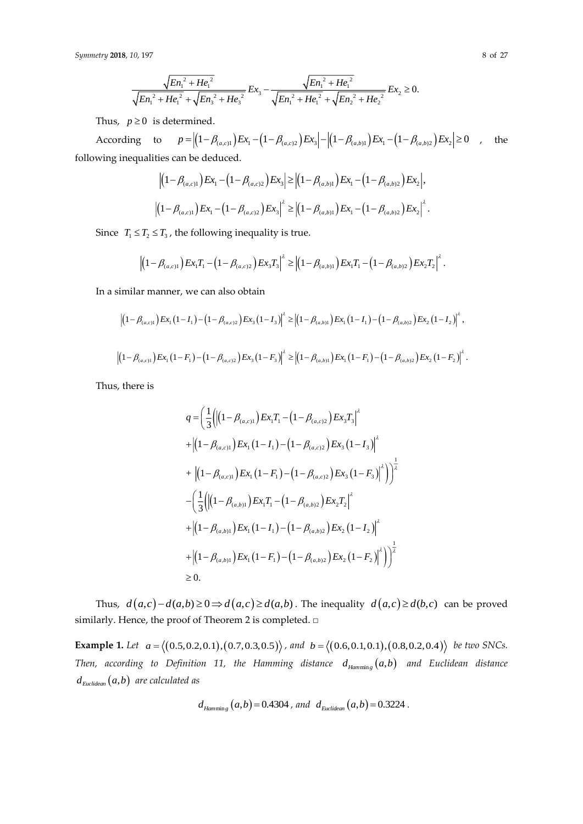$$
\frac{\sqrt{E{n_1}^2 + He_1^2}}{\sqrt{E{n_1}^2 + He_1^2} + \sqrt{E{n_3}^2 + He_3^2}} E{x_3} - \frac{\sqrt{E{n_1}^2 + He_1^2}}{\sqrt{E{n_1}^2 + He_1^2} + \sqrt{E{n_2}^2 + He_2^2}} E{x_2} \ge 0.
$$

Thus,  $p \geq 0$  is determined.

According to  $p = \left| \left(1 - \beta_{(a,c)1}\right) E x_1 - \left(1 - \beta_{(a,c)2}\right) E x_3\right| - \left| \left(1 - \beta_{(a,b)1}\right) E x_1 - \left(1 - \beta_{(a,b)2}\right) E x_2\right| \ge 0$ , the following inequalities can be deduced.

$$
\left| \left( 1 - \beta_{(a,c)1} \right) E x_1 - \left( 1 - \beta_{(a,c)2} \right) E x_3 \right| \ge \left| \left( 1 - \beta_{(a,b)1} \right) E x_1 - \left( 1 - \beta_{(a,b)2} \right) E x_2 \right|,
$$
  

$$
\left| \left( 1 - \beta_{(a,c)1} \right) E x_1 - \left( 1 - \beta_{(a,c)2} \right) E x_3 \right|^{\lambda} \ge \left| \left( 1 - \beta_{(a,b)1} \right) E x_1 - \left( 1 - \beta_{(a,b)2} \right) E x_2 \right|^{\lambda}.
$$

Since  $T_1 \leq T_2 \leq T_3$ , the following inequality is true.

$$
\left|\left(1-\beta_{(a,c)1}\right)Ex_1T_1-\left(1-\beta_{(a,c)2}\right)Ex_3T_3\right|^{\lambda} \geq \left|\left(1-\beta_{(a,b)1}\right)Ex_1T_1-\left(1-\beta_{(a,b)2}\right)Ex_2T_2\right|^{\lambda}.
$$

In a similar manner, we can also obtain

similar manner, we can also obtain  
\n
$$
\left| \left(1 - \beta_{(a,c)1}\right) E x_1 \left(1 - I_1\right) - \left(1 - \beta_{(a,c)2}\right) E x_3 \left(1 - I_3\right) \right|^2 \ge \left| \left(1 - \beta_{(a,b)1}\right) E x_1 \left(1 - I_1\right) - \left(1 - \beta_{(a,b)2}\right) E x_2 \left(1 - I_2\right) \right|^2,
$$
\n
$$
\left| \left(1 - \beta_{(a,c)1}\right) E x_1 \left(1 - F_1\right) - \left(1 - \beta_{(a,c)2}\right) E x_3 \left(1 - F_3\right) \right|^2 \ge \left| \left(1 - \beta_{(a,b)1}\right) E x_1 \left(1 - F_1\right) - \left(1 - \beta_{(a,b)2}\right) E x_2 \left(1 - F_2\right) \right|^2.
$$

Thus, there is

$$
q = \left(\frac{1}{3} \left( \left| \left(1 - \beta_{(a,c)1} \right) E x_1 T_1 - \left(1 - \beta_{(a,c)2} \right) E x_3 T_3 \right|^{\lambda} \right.\right.
$$
  
+ 
$$
\left| \left(1 - \beta_{(a,c)1} \right) E x_1 \left(1 - I_1 \right) - \left(1 - \beta_{(a,c)2} \right) E x_3 \left(1 - I_3 \right) \right|^{\lambda}
$$
  
+ 
$$
\left| \left(1 - \beta_{(a,c)1} \right) E x_1 \left(1 - F_1 \right) - \left(1 - \beta_{(a,c)2} \right) E x_3 \left(1 - F_3 \right) \right|^{\lambda} \right) \right|^{\frac{1}{\lambda}}
$$
  
- 
$$
\left( \frac{1}{3} \left( \left| \left(1 - \beta_{(a,b)1} \right) E x_1 T_1 - \left(1 - \beta_{(a,b)2} \right) E x_2 T_2 \right|^{\lambda} \right.
$$
  
+ 
$$
\left| \left(1 - \beta_{(a,b)1} \right) E x_1 \left(1 - I_1 \right) - \left(1 - \beta_{(a,b)2} \right) E x_2 \left(1 - I_2 \right) \right|^{\lambda}
$$
  
+ 
$$
\left| \left(1 - \beta_{(a,b)1} \right) E x_1 \left(1 - F_1 \right) - \left(1 - \beta_{(a,b)2} \right) E x_2 \left(1 - F_2 \right) \right|^{\lambda} \right) \right|^{\frac{1}{\lambda}}
$$
  

$$
\geq 0.
$$

Thus,  $d(a,c)-d(a,b) \ge 0 \Rightarrow d(a,c) \ge d(a,b)$ . The inequality  $d(a,c) \ge d(b,c)$  can be proved similarly. Hence, the proof of Theorem 2 is completed. □

**Example 1.** Let  $a = \langle (0.5, 0.2, 0.1), (0.7, 0.3, 0.5) \rangle$ , and  $b = \langle (0.6, 0.1, 0.1), (0.8, 0.2, 0.4) \rangle$  be two SNCs. Then, according to Definition 11, the Hamming distance  $d_{\textit{Hamming}}(a,b)$  and Euclidean distance  $d_{\tiny Euclidean}(a, b)$  are calculated as

$$
d_{\text{Hammin}_g}(a,b) = 0.4304
$$
, and  $d_{\text{Euclidean}}(a,b) = 0.3224$ .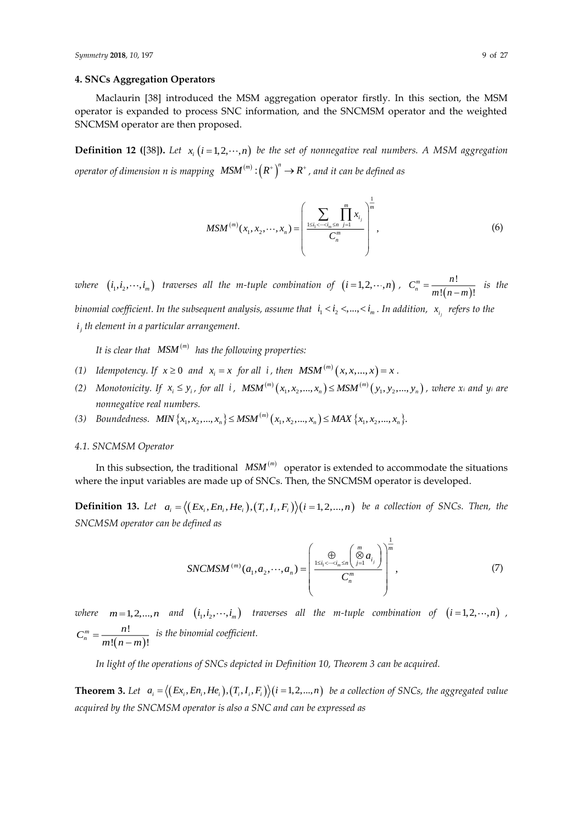## **4. SNCs Aggregation Operators**

Maclaurin [38] introduced the MSM aggregation operator firstly. In this section, the MSM operator is expanded to process SNC information, and the SNCMSM operator and the weighted SNCMSM operator are then proposed.

**Definition 12 ([38]).** Let  $x_i$   $(i = 1, 2, \dots, n)$  be the set of nonnegative real numbers. A MSM aggregation  $\delta$  *operator of dimension*  $n$  *is mapping*  $\left( M S M^{(m)} : \left( R^+ \right)^n \to R^+$  *, and it can be defined as* 

$$
MSM^{(m)}(x_1, x_2, \cdots, x_n) = \left(\frac{\sum_{1 \le i_1 < \cdots < i_m \le n} \prod_{j=1}^m x_{i_j}}{C_n^m}\right)^{\frac{1}{m}}, \tag{6}
$$

*where*  $(i_1, i_2, \dots, i_m)$  *traverses all the m-tuple combination of*  $(i = 1, 2, \dots, n)$ ,  $C_n^m = \frac{n!}{m!(n-m)}$ !  $!(n-m)!$ *m n*  $C_n^m = \frac{n!}{m!(n-m)!}$  is the binomial coefficient. In the subsequent analysis, assume that  $\;$  i<sub>1</sub> < i<sub>2</sub> <,...,< i<sub>m</sub> . In addition,  $\;$  x<sub>i,</sub> refers to the

*j i th element in a particular arrangement.*

*It is clear that*  (*m*) *MSM has the following properties:*

- (1) Idempotency. If  $x \ge 0$  and  $x_i = x$  for all i, then  $MSM^{(m)}(x, x, ..., x) = x$ .
- (2) Monotonicity. If  $x_i \le y_i$ , for all *i*,  $MSM^{(m)}(x_1, x_2, ..., x_n) \le MSM^{(m)}$  $MSM^{(m)}(x_1, x_2,...,x_n) \leq MSM^{(m)}(y_1, y_2,..., y_n)$ , where x<sub>i</sub> and y<sub>i</sub> are  $MSM^{(m)}(x_1, x_2,...,x_n)$ *nonnegative real numbers.*
- (3) Boundedness. MIN  ${x_1, x_2, ..., x_n} \le MSM^{(m)}(x_1, x_2, ..., x_n) \le MAX {x_1, x_2, ..., x_n}.$

## *4.1. SNCMSM Operator*

In this subsection, the traditional  $\mathit{MSM}^{(m)}$  operator is extended to accommodate the situations where the input variables are made up of SNCs. Then, the SNCMSM operator is developed.

**Definition 13.** Let  $a_i = \langle (Ex_i, En_i, He_i), (T_i, I_i, F_i) \rangle (i = 1, 2, ..., n)$  be a collection of SNCs. Then, the *SNCMSM operator can be defined as*

$$
SNCMSM^{(m)}(a_1, a_2, \cdots, a_n) = \left(\frac{\bigoplus \limits_{1 \le i_1 < \cdots < i_m \le n} \left(\bigotimes \limits_{j=1}^m a_{i_j}\right)}{C_n^m}\right)^{\frac{1}{m}},\tag{7}
$$

where  $m=1,2,...,n$  and  $(i_1,i_2,\cdots,i_m)$  traverses all the m-tuple combination of  $(i=1,2,\cdots,n)$ ,  $(n-m)$ !  $!(n-m)!$ *m n*  $C_n^m = \frac{n!}{m!(n-m)!}$  is the binomial coefficient.

*In light of the operations of SNCs depicted in Definition 10, Theorem 3 can be acquired.*

**Theorem 3.** Let  $a_i = \langle (Ex_i, En_i, He_i), (T_i, I_i, F_i) \rangle (i = 1, 2, ..., n)$  be a collection of SNCs, the aggregated value *acquired by the SNCMSM operator is also a SNC and can be expressed as*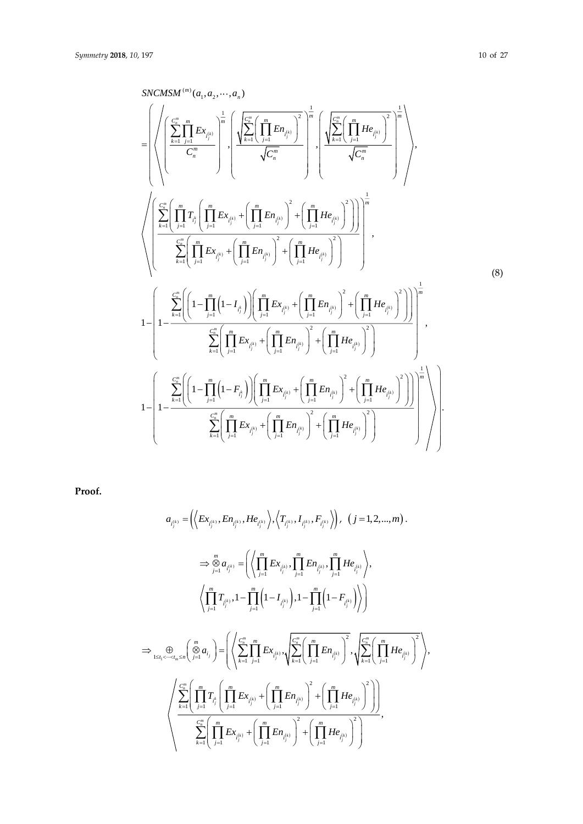$$
SNCMSM^{(m)}(a_1, a_2, \dots, a_n)
$$
\n
$$
= \left( \sqrt{\left( \sum_{k=1}^{C_m^m} \prod_{j=1}^{m} E_{X_{\ell_{j}^{(k)}}} \right)^{\frac{1}{m}}} \left( \sqrt{\sum_{k=1}^{C_m^m} \left( \prod_{j=1}^{m} E_{X_{\ell_{j}^{(k)}}} \right)^2} \right)^{\frac{1}{m}} \left( \sqrt{\sum_{k=1}^{C_m^m} \left( \prod_{j=1}^{m} H_{e_{\ell_{j}^{(k)}}} \right)^2} \right)^{\frac{1}{m}} \left( \sqrt{\sum_{k=1}^{C_m^m} \left( \prod_{j=1}^{m} H_{e_{\ell_{j}^{(k)}}} \right)^2} \right)^{\frac{1}{m}} \right),
$$
\n
$$
\sqrt{\left( \sum_{k=1}^{C_m^m} \left( \prod_{j=1}^{m} \Gamma_{X_{\ell_{j}^{(k)}}} + \left( \prod_{j=1}^{m} E_{X_{\ell_{j}^{(k)}}} + \left( \prod_{j=1}^{m} E_{X_{\ell_{j}^{(k)}}} \right)^2 + \left( \prod_{j=1}^{m} H_{e_{\ell_{j}^{(k)}}} \right)^2 \right) \right)^{\frac{1}{m}}},
$$
\n
$$
1 - \left( 1 - \frac{\sum_{k=1}^{C_m^m} \left( \left( 1 - \prod_{j=1}^{m} \left( 1 - I_{\ell_{j}^{k}} \right) \right) \left( \prod_{j=1}^{m} E_{X_{\ell_{j}^{(k)}}} + \left( \prod_{j=1}^{m} E_{X_{\ell_{j}^{(k)}}} \right)^2 + \left( \prod_{j=1}^{m} H_{e_{\ell_{j}^{(k)}}} \right)^2 \right) \right)^{\frac{1}{m}}},
$$
\n
$$
1 - \left( 1 - \frac{\sum_{k=1}^{C_m^m} \left( \left( 1 - \prod_{j=1}^{m} \left( 1 - I_{\ell_{j}^{k}} \right) \right) \left( \prod_{j=1}^{m} E_{X_{\ell_{j}^{(k)}}} + \left( \prod_{j=1}^{m} E_{X_{\ell_{j}^{(k)}}} \right)^2 + \left( \prod_{j=1}^{m} H
$$

**Proof.**

$$
a_{i_{j}^{(k)}} = \left( \left\langle Ex_{i_{j}^{(k)}}, En_{i_{j}^{(k)}}, He_{i_{j}^{(k)}} \right\rangle, \left\langle T_{i_{j}^{(k)}}, I_{i_{j}^{(k)}}, F_{i_{j}^{(k)}} \right\rangle \right), (j = 1, 2, ..., m).
$$
\n
$$
\Rightarrow \bigotimes_{j=1}^{m} a_{i_{j}^{(k)}} = \left( \left\langle \prod_{j=1}^{m} Ex_{i_{j}^{(k)}}, \prod_{j=1}^{m} En_{i_{j}^{(k)}}, \prod_{j=1}^{m} He_{i_{j}^{(k)}} \right\rangle,
$$
\n
$$
\left\langle \prod_{j=1}^{m} T_{i_{j}^{(k)}}, 1 - \prod_{j=1}^{m} \left(1 - I_{i_{j}^{(k)}} \right), 1 - \prod_{j=1}^{m} \left(1 - F_{i_{j}^{(k)}} \right) \right\rangle \right)
$$
\n
$$
\Rightarrow \bigoplus_{1 \leq i_{1} < \dots < i_{m} \leq n} \left( \bigotimes_{j=1}^{m} a_{i_{j}} \right) = \left( \left\langle \sum_{k=1}^{c_{m}} \prod_{j=1}^{m} Ex_{i_{j}^{(k)}}, \sqrt{\sum_{k=1}^{c_{m}} \left( \prod_{j=1}^{m} En_{i_{j}^{(k)}} \right)^{2}}, \sqrt{\sum_{k=1}^{c_{m}} \left( \prod_{j=1}^{m} He_{i_{j}^{(k)}} \right)^{2} \right\rangle \right),
$$
\n
$$
\left\langle \sum_{k=1}^{c_{m}} \left( \prod_{j=1}^{m} T_{i_{j}^{k}} \left( \prod_{j=1}^{m} Ex_{i_{j}^{(k)}} + \left( \prod_{j=1}^{m} En_{i_{j}^{(k)}} \right)^{2} + \left( \prod_{j=1}^{m} He_{i_{j}^{(k)}} \right)^{2} \right) \right\rangle,
$$
\n
$$
\left\langle \sum_{k=1}^{c_{m}^{m}} \left( \prod_{j=1}^{m} Ex_{i_{j}^{(k)}} + \left( \prod_{j=1}^{m} En_{i_{j}^{(k)}} \right)^{2} + \left( \prod_{j=1}^{m} He_{i_{j}^{(k)}} \right)^{
$$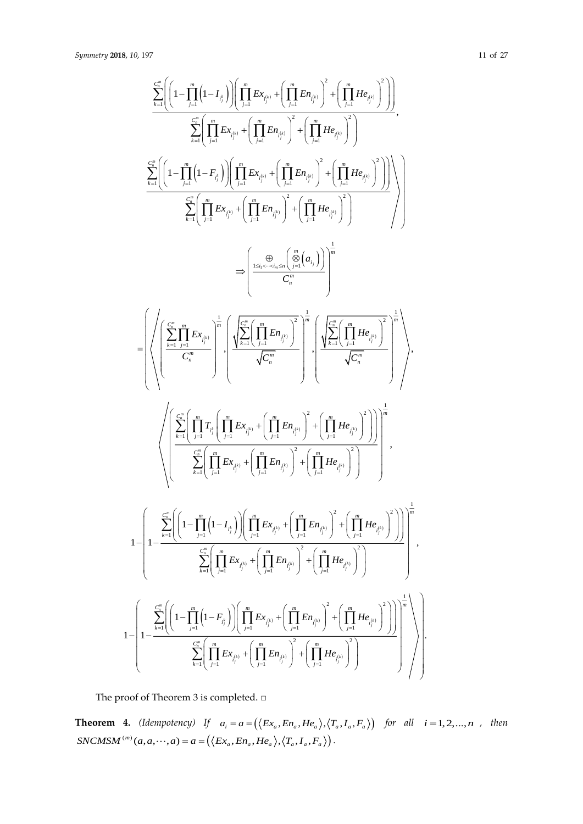$$
\begin{split} &\frac{\sum\limits_{k=1}^{m}\Biggl(\Biggl(1-\prod\limits_{j=1}^{m}\Biggl(1-I_{f_{j}}\Biggr)\Biggl)\Biggl(\prod\limits_{j=1}^{m}Ex_{\ell_{j}^{0}}+\Biggl(\prod\limits_{j=1}^{m}Ex_{\ell_{j}^{0}}\Biggr)^{2}+\Biggl(\prod\limits_{j=1}^{m}He_{\ell_{j}^{0}}\Biggr)^{2}\Biggr)\Biggr)\\ &\frac{\sum\limits_{k=1}^{m}\Biggl(\Biggl(1-\prod\limits_{j=1}^{m}\Biggl(1-F_{\ell_{j}}\Biggr)\Biggl)\Biggl(\prod\limits_{j=1}^{m}Ex_{\ell_{j}^{0}}+\Biggl(\prod\limits_{j=1}^{m}En_{\ell_{j}^{0}}\Biggr)^{2}+\Biggl(\prod\limits_{j=1}^{m}He_{\ell_{j}^{0}}\Biggr)^{2}\Biggr)\Biggr)\\ &\frac{\sum\limits_{k=1}^{m}\Biggl(\Biggl(-\prod\limits_{j=1}^{m}\Biggl(1-F_{\ell_{j}}\Biggr)\Biggl)\Biggl(\prod\limits_{j=1}^{m}Ex_{\ell_{j}^{0}}+\Biggl(\prod\limits_{j=1}^{m}En_{\ell_{j}^{0}}\Biggr)^{2}+\Biggl(\prod\limits_{j=1}^{m}He_{\ell_{j}^{0}}\Biggr)^{2}\Biggr)\Biggr)\\ =&\Biggl\{\frac{\sum\limits_{k=1}^{m}\Biggl(\prod\limits_{j=1}^{m}Ex_{\ell_{j}^{0}}+\Biggl(\prod\limits_{j=1}^{m}En_{\ell_{j}^{0}}\Biggr)^{2}}{C_{\ell_{n}}^{m}}\Biggr)^{2}\Biggl(\frac{\sum\limits_{k=1}^{m}\Biggl(\prod\limits_{j=1}^{m}He_{\ell_{j}^{0}}\Biggr)^{2}}{C_{\ell_{n}}^{m}}\Biggr)^{2}\Biggl(\frac{\sum\limits_{k=1}^{m}\Biggl(\prod\limits_{j=1}^{m}He_{\ell_{j}^{0}}\Biggr)^{2}}{ \sqrt{C_{n}}^{m}}\Biggr)^{2}\Biggl(\frac{\sum\limits_{k=1}^{m}\Biggl(\prod\limits_{j=1}^{m}He_{\ell_{j}^{0}}\Biggr)^{2}}{ \sqrt{C_{n}}^{m}}\Biggr)^{2}\Biggl(\frac{\sum\limits_{k=1}^{m}\Biggl(\prod\limits_{j=1}^{
$$

The proof of Theorem 3 is completed.  $\square$ 

**Theorem 4.** (Idempotency) If  $a_i = a = (\langle Ex_a, En_a, He_a \rangle, \langle T_a, I_a, F_a \rangle)$  for all  $i = 1, 2, ..., n$ , then  $SNCMSM^{(m)}(a,a,\dots,a) = a = (\langle Ex_a, En_a,He_a \rangle, \langle T_a, I_a, F_a \rangle).$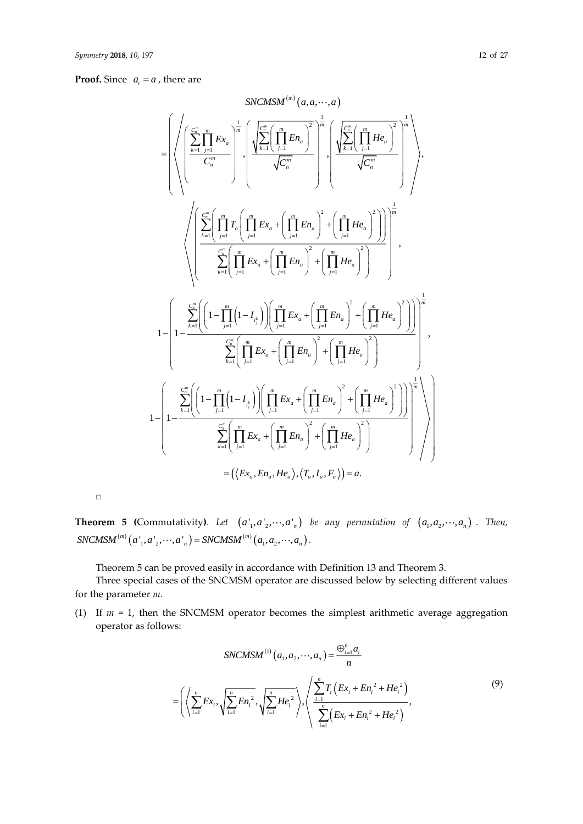#### **Proof.** Since  $a_i = a$ , there are

$$
\sum_{i=1}^{NLCMSM^{(m)}}(a,a,\dots,a)
$$
\n
$$
= \left( \left\langle \left( \sum_{k=1}^{C_{n}^{m}} \prod_{j=1}^{m} Ex_{a} \right)^{\frac{1}{m}} \right|, \left\langle \frac{\sum_{k=1}^{C_{n}^{m}} \left( \prod_{j=1}^{m} En_{a} \right)^{2}}{\sqrt{C_{n}^{m}}} \right|, \left\langle \frac{\sum_{k=1}^{C_{n}^{m}} \left( \prod_{j=1}^{m} He_{a} \right)^{2}}{\sqrt{C_{n}^{m}}} \right| \right\rangle + \left\langle \frac{\sum_{k=1}^{C_{n}^{m}} \left( \prod_{j=1}^{m} He_{a} \right)^{2}}{\sqrt{C_{n}^{m}}} \right| \right\rangle,
$$
\n
$$
\left\langle \left( \sum_{k=1}^{C_{n}^{m}} \left( \prod_{j=1}^{m} T_{a} \left( \prod_{j=1}^{m} Ex_{a} + \left( \prod_{j=1}^{m} En_{a} \right)^{2} + \left( \prod_{j=1}^{m} He_{a} \right)^{2} \right) \right) \right|^{-\frac{1}{m}}
$$
\n
$$
1 - \left( 1 - \sum_{k=1}^{C_{n}^{m}} \left( \left( 1 - \prod_{j=1}^{m} \left( 1 - I_{i_{j}^{k}} \right) \right) \left( \prod_{j=1}^{m} Ex_{a} + \left( \prod_{j=1}^{m} En_{a} \right)^{2} + \left( \prod_{j=1}^{m} He_{a} \right)^{2} \right) \right) \right)^{-\frac{1}{m}}
$$
\n
$$
1 - \left( 1 - \frac{\sum_{k=1}^{C_{n}^{m}} \left( \left( 1 - \prod_{j=1}^{m} \left( 1 - I_{i_{j}^{k}} \right) \right) \left( \prod_{j=1}^{m} Ex_{a} + \left( \prod_{j=1}^{m} En_{a} \right)^{2} + \left( \prod_{j=1}^{m} He_{a} \right)^{2} \right) \right) \right)^{-\frac{1}{m}}
$$
\n
$$
1 - \left( 1 - \frac{\sum_{k=1}^{C_{n}^{m}} \left( \left( 1 - \prod_{j=1}^{m}
$$

 $\Box$ 

**Theorem 5** (Commutativity). Let  $(a_1, a_2, \dots, a_n)$  be any permutation of  $(a_1, a_2, \dots, a_n)$ . Then,  ${^{(m)}(a_1, a_2, \cdots, a_n)} = SNCMSM^{(m)}$ **Theorem 5 (Commutativity).** Let  $(a'_1, a'_2, \dots, a'_n)$  *SNCMSM*<sup>(*m*)</sup>  $(a'_1, a'_2, \dots, a'_n) =$  *SNCMSM*<sup>(*m*)</sup>  $(a_1, a_2, \dots, a_n)$ .

Theorem 5 can be proved easily in accordance with Definition 13 and Theorem 3.

Three special cases of the SNCMSM operator are discussed below by selecting different values for the parameter *m*.

(1) If *m* = 1, then the SNCMSM operator becomes the simplest arithmetic average aggregation operator as follows:

$$
SNCMSM^{(1)}(a_1, a_2, \cdots, a_n) = \frac{\bigoplus_{i=1}^n a_i}{n}
$$
  
=  $\left( \left\langle \sum_{i=1}^n Ex_i, \sqrt{\sum_{i=1}^n En_i^2}, \sqrt{\sum_{i=1}^n He_i^2} \right\rangle, \left\langle \frac{\sum_{i=1}^n T_i \left( Ex_i + En_i^2 + He_i^2 \right)}{\sum_{i=1}^n \left( Ex_i + En_i^2 + He_i^2 \right)}, \right\rangle$  (9)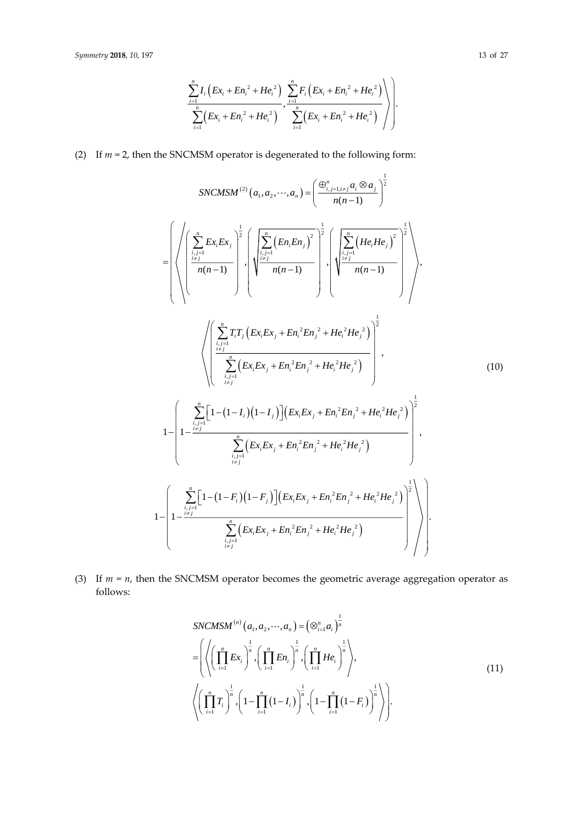$$
\frac{\sum_{i=1}^{n} I_{i} \left( Ex_{i} + En_{i}^{2} + He_{i}^{2} \right)}{\sum_{i=1}^{n} \left( Ex_{i} + En_{i}^{2} + He_{i}^{2} \right)}, \frac{\sum_{i=1}^{n} F_{i} \left( Ex_{i} + En_{i}^{2} + He_{i}^{2} \right)}{\sum_{i=1}^{n} \left( Ex_{i} + En_{i}^{2} + He_{i}^{2} \right)}
$$

(2) If  $m = 2$ , then the SNCMSM operator is degenerated to the following form:

$$
SNCMSM^{(2)}(a_{1}, a_{2}, \cdots, a_{n}) = \left(\frac{\oplus_{i,j=1, i \neq j}^{n} a_{i} \otimes a_{j}}{n(n-1)}\right)^{\frac{1}{2}}
$$
\n
$$
= \left(\sqrt{\left(\sum_{\substack{i,j=1 \ i \neq j}}^{n} E_{x_{i}} E_{x_{j}}\right)^{\frac{1}{2}}}, \left(\sqrt{\sum_{\substack{i,j=1 \ i \neq j}}^{n} \left(E_{n} E_{n} E_{n_{j}}\right)^{2}}\right)^{\frac{1}{2}}, \left(\sqrt{\sum_{\substack{i,j=1 \ i \neq j}}^{n} \left(E_{i} E_{i} E_{i} E_{j}\right)^{2}}\right)^{\frac{1}{2}}}\right), \left(\sqrt{\left(\sum_{\substack{i,j=1 \ i \neq j}}^{n} \left(E_{i} E_{i} E_{i} E_{j} + E_{i} E_{i} E_{i} E_{i} \right)^{2}}\right)^{\frac{1}{2}}}\right), \left(\sqrt{\left(\sum_{\substack{i,j=1 \ i \neq j}}^{n} \left(E_{i} E_{i} E_{i} + E_{i} E_{i} E_{i} \right)^{2} + H e_{i}^{2} H e_{j}^{2}\right)}\right)^{\frac{1}{2}}}, \left(\sqrt{\left(\sum_{\substack{i,j=1 \ i \neq j}}^{n} \left(E_{i} E_{i} E_{i} + E_{i} E_{i} E_{i} \right)^{2} + H e_{i}^{2} H e_{j}^{2}\right)}\right)^{\frac{1}{2}}}, \left(\sqrt{\left(\frac{\sum_{\substack{i,j=1 \ i \neq j}}^{n} \left[1 - (1 - I_{i}) (1 - I_{j})\right] \left(E_{i} E_{i} E_{i} + E_{i}^{2} E_{i} \right)^{2} + H e_{i}^{2} H e_{j}^{2}\right)}\right)^{\frac{1}{2}}}, \left(\sqrt{\left(\frac{\sum_{\substack{i,j=1 \ i \neq j}}^{n} \left[1 - (1 - F_{i}) (1 - F_{j})\right] \left(E_{i} E_{i} E_{i} + E_{i}^{2} E_{i} \right)^{2} + H e_{i}^{2} H e_{j}^{2}\right)}\right)^{\frac{1}{2}}}\right), \left(\sqrt{\left(\frac{\sum_{\substack{i,j=1 \ i \neq j}}
$$

(3) If  $m = n$ , then the SNCMSM operator becomes the geometric average aggregation operator as follows:

$$
SNCMSM^{(n)}(a_1, a_2, \cdots, a_n) = (\otimes_{i=1}^n a_i)^{\frac{1}{n}}
$$
  
= 
$$
\left( \left\langle \left( \prod_{i=1}^n E x_i \right)^{\frac{1}{n}}, \left( \prod_{i=1}^n E n_i \right)^{\frac{1}{n}}, \left( \prod_{i=1}^n H e_i \right)^{\frac{1}{n}} \right\rangle,
$$
  

$$
\left\langle \left( \prod_{i=1}^n T_i \right)^{\frac{1}{n}}, \left( 1 - \prod_{i=1}^n (1 - I_i) \right)^{\frac{1}{n}}, \left( 1 - \prod_{i=1}^n (1 - F_i) \right)^{\frac{1}{n}} \right\rangle \right).
$$
  
(11)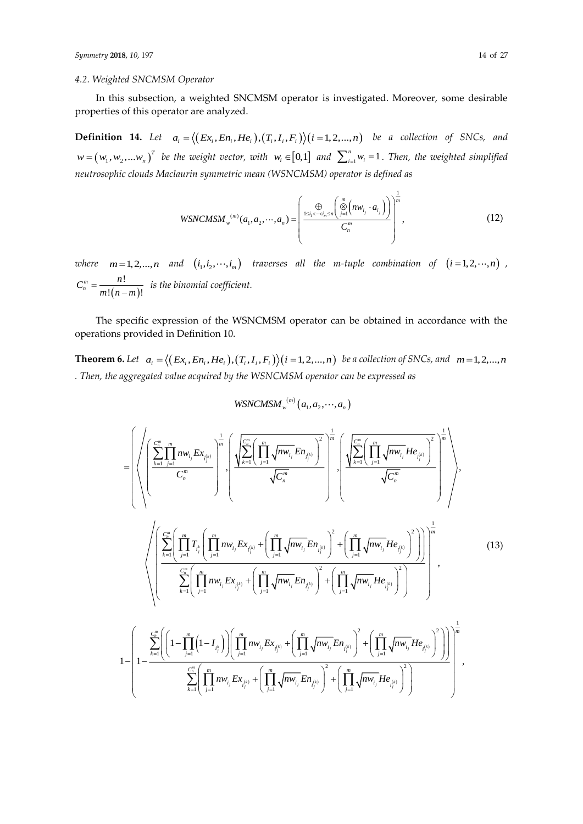## *4.2. Weighted SNCMSM Operator*

In this subsection, a weighted SNCMSM operator is investigated. Moreover, some desirable properties of this operator are analyzed.

**Definition 14.** Let  $a_i = \langle (Ex_i, En_i, He_i), (T_i, I_i, F_i) \rangle (i = 1, 2, ..., n)$  be a collection of SNCs, and  $w=(w_1, w_2,...w_n)^T$  be the weight vector, with  $w_i \in [0,1]$  and  $\sum_{i=1}^n w_i = 1$ . Then, the weighted simplified *neutrosophic clouds Maclaurin symmetric mean (WSNCMSM) operator is defined as*

$$
WSNCMSM_{w}^{(m)}(a_{1}, a_{2}, \cdots, a_{n}) = \left(\frac{\bigoplus_{1 \leq i_{1} < \cdots < i_{m} \leq n} \left(\bigotimes_{j=1}^{m} \left(nw_{i_{j}} \cdot a_{i_{j}}\right)\right)}{C_{n}^{m}}\right)^{\frac{1}{m}},
$$
(12)

where  $m=1,2,...,n$  and  $(i_1,i_2,\cdots,i_m)$  traverses all the m-tuple combination of  $(i=1,2,\cdots,n)$ ,  $(n-m)$ !  $!(n-m)!$ *m n*  $C_n^m = \frac{n!}{m!(n-m)!}$  is the binomial coefficient.

The specific expression of the WSNCMSM operator can be obtained in accordance with the operations provided in Definition 10.

**Theorem 6.** Let  $a_i = \langle (Ex_i, En_i, He_i), (T_i, I_i, F_i) \rangle (i = 1, 2, ..., n)$  be a collection of SNCs, and  $m = 1, 2, ..., n$ *. Then, the aggregated value acquired by the WSNCMSM operator can be expressed as*

$$
WSNCMSM_{w}^{(m)}(a_1,a_2,\cdots,a_n)
$$

$$
= \left( \sqrt{\left( \sum_{k=1}^{C_{m}^{m}} \prod_{j=1}^{m} n w_{i_{j}} E x_{i_{j}^{(k)}} \right)^{\frac{1}{m}}} \cdot \left( \frac{\sqrt{\sum_{k=1}^{C_{m}^{m}} \left( \prod_{j=1}^{m} \sqrt{n w_{i_{j}} E n_{i_{j}^{(k)}}} \right)^{2}}}{\sqrt{C_{n}^{m}}} \right)^{\frac{1}{m}} \cdot \left( \frac{\sqrt{\sum_{k=1}^{C_{m}^{m}} \left( \prod_{j=1}^{m} \sqrt{n w_{i_{j}} E n_{i_{j}^{(k)}}} \right)^{2}}}{\sqrt{C_{n}^{m}}} \right)^{\frac{1}{m}} \cdot \left( \frac{\sqrt{\sum_{k=1}^{C_{m}^{m}} \left( \prod_{j=1}^{m} \sqrt{n w_{i_{j}} E n_{i_{j}^{(k)}}} \right)^{2}}}{\sqrt{C_{n}^{m}}} \right)^{\frac{1}{m}} \cdot \left( \frac{\sqrt{\sum_{k=1}^{C_{m}^{m}} \left( \prod_{j=1}^{m} \sqrt{n w_{i_{j}} E x_{i_{j}^{(k)}}} + \left( \prod_{j=1}^{m} \sqrt{n w_{i_{j}} E n_{i_{j}^{(k)}}} \right)^{2} + \left( \prod_{j=1}^{m} \sqrt{n w_{i_{j}} E n_{i_{j}^{(k)}}} \right)^{2} \right)}{\sqrt{C_{n}^{m}}} \right) \cdot \left( \frac{\sum_{k=1}^{C_{m}^{m}} \left( \prod_{j=1}^{m} \sqrt{n w_{i_{j}} E x_{i_{j}^{(k)}}} + \left( \prod_{j=1}^{m} \sqrt{n w_{i_{j}} E n_{i_{j}^{(k)}}} \right)^{2} + \left( \prod_{j=1}^{m} \sqrt{n w_{i_{j}} E n_{i_{j}^{(k)}}} \right)^{2} \right)}{\sum_{k=1}^{C_{m}^{m}} \left( \left( 1 - \prod_{j=1}^{m} \left( 1 - I_{i_{j}^{k}} \right) \right) \left( \prod_{j=1}^{m} \sqrt{n w_{i_{j}} E x_{i_{j}^{(k)}}} + \left( \prod_{j=1}^{m} \sqrt{n w_{i_{j}} E n_{i_{j}^{(k)}}} \right)^{2} + \left( \prod_{j=1}^{m} \
$$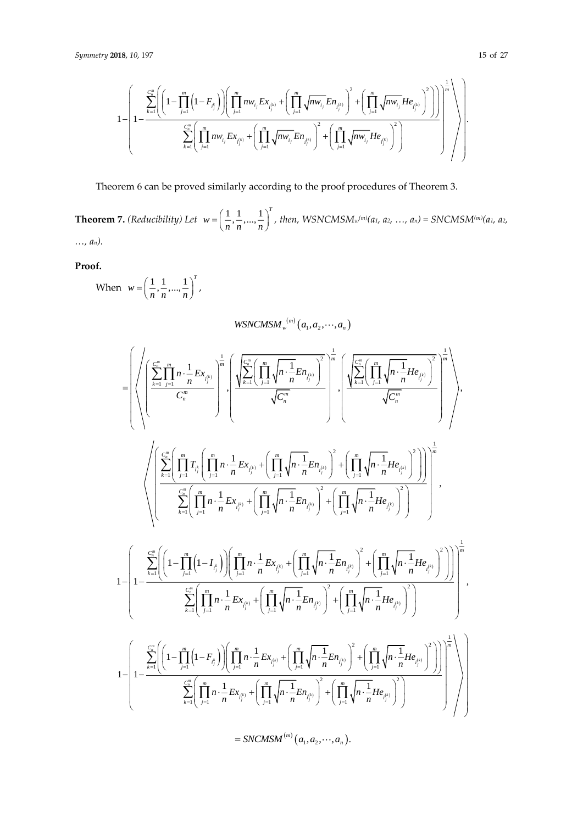$$
1 - \left( {1 - \frac{{\sum\limits_{k = 1}^{c_{n}^{m}} {\left( {{{\left( {1 - \prod\limits_{j = 1}^{m} {\left( {1 - {F_{i_{j}^{k}}} \right)} } \right)} } \right\left( {\prod\limits_{j = 1}^{m} {nw_{i_{j}} {Ex_{i_{j}^{(k)}}}} + \left( {\prod\limits_{j = 1}^{m} {\sqrt{n w_{i_{j}} } {En_{i_{j}^{(k)}}} } } \right)^{2} + \left( {\prod\limits_{j = 1}^{m} {\sqrt{n w_{i_{j}} } {He_{i_{j}^{(k)}}} } } \right)^{2} } \right)} \right)^{1 - \left( {\frac{1}{{2\left( {\prod\limits_{j = 1}^{m} {w_{i_{j}} {Ex_{i_{j}^{(k)}}}} + \left( {\prod\limits_{j = 1}^{m} {\sqrt{n w_{i_{j}} } {En_{i_{j}^{(k)}}} } } \right)^{2} + \left( {\prod\limits_{j = 1}^{m} {\sqrt{n w_{i_{j}} } {He_{i_{j}^{(k)}}} } } \right)^{2} } \right)}} \right)^{1 - \left( {\frac{1}{{2\left( {\prod\limits_{j = 1}^{m} {w_{i_{j}} {Ex_{i_{j}^{(k)}}}} + \left( {\prod\limits_{j = 1}^{m} {\sqrt{n w_{i_{j}} } {En_{i_{j}^{(k)}}} } } \right)^{2} + \left( {\prod\limits_{j = 1}^{m} {\sqrt{n w_{i_{j}} } {He_{i_{j}^{(k)}}} } } \right)^{2} } \right)}} \right)
$$

Theorem 6 can be proved similarly according to the proof procedures of Theorem 3.

**Theorem 7.** *(Reducibility)* Let  $w = \left( \frac{1}{2}, \frac{1}{2}, \ldots, \frac{1}{n} \right)$ *T*  $w = \left(\frac{1}{n}, \frac{1}{n}, ..., \frac{1}{n}\right)$  $=\left(\frac{1}{n}, \frac{1}{n}, ..., \frac{1}{n}\right)^{t}$ , then, WSNCMSM<sub>*w*</sub><sup>(*m*)</sup>(*a*<sub>1</sub>*, a*<sub>2</sub>*, ..., a<sub>n</sub>*) = SNCMSM<sup>(*m*)</sup>(*a*<sub>1</sub>*, a*<sub>2</sub>*, …, an).*

**Proof.**

When  $w = \left( \frac{1}{1}, \frac{1}{1}, \ldots, \frac{1}{n} \right)$ *T*  $w = \left(\frac{1}{n}, \frac{1}{n}, ..., \frac{1}{n}\right)$  $=\left(\frac{1}{n},\frac{1}{n},...,\frac{1}{n}\right)^{t}$ 

 $W$ SNCMSM<sub>*w*</sub><sup> $(m)$ </sup> $(a_1, a_2, \cdots, a_n)$ 

$$
=\left(\left(\sum_{k=1}^{C_{n}^{m}}\prod_{j=1}^{n}\frac{1}{n}\cdot\frac{1}{n}Ex_{\ell_{j}^{k_{j}}}}{\binom{m}{m}}\right)^{n}\cdot\left(\frac{\sqrt{\sum_{k=1}^{C_{n}^{m}}\left(\prod_{j=1}^{m}\sqrt{n}\cdot\frac{1}{n}En_{\ell_{j}^{k_{j}}}}}{\sqrt{C_{n}^{m}}}\right)^{2}}\right)^{n}\cdot\left(\frac{\sum_{k=1}^{C_{n}^{m}}\left(\prod_{j=1}^{m}\sqrt{n}\cdot\frac{1}{n}He_{\ell_{j}^{k_{j}}}}{\sqrt{C_{n}^{m}}}\right)^{2}}{\sqrt{C_{n}^{m}}}\right)^{n}\right)\cdot\left(\sum_{k=1}^{C_{n}^{m}}\left(\prod_{j=1}^{m}\frac{1}{n}\sum_{j=1}^{n}\left(\prod_{j=1}^{m}\frac{1}{n}\sum_{k}Ex_{\ell_{j}^{k_{j}}}\right)+\left(\prod_{j=1}^{m}\sqrt{n}\cdot\frac{1}{n}En_{\ell_{j}^{k_{j}}}\right)^{2}+\left(\prod_{j=1}^{m}\sqrt{n}\cdot\frac{1}{n}He_{\ell_{j}^{k_{j}}}\right)^{2}\right)\right)\right)^{n}\cdot\left(\sum_{k=1}^{C_{n}^{m}}\left(\prod_{j=1}^{m}\frac{1}{n}\sum_{k}Ex_{\ell_{j}^{k_{j}}}\right)+\left(\prod_{j=1}^{m}\sqrt{n}\cdot\frac{1}{n}En_{\ell_{j}^{k_{j}}}\right)^{2}+\left(\prod_{j=1}^{m}\sqrt{n}\cdot\frac{1}{n}He_{\ell_{j}^{k_{j}}}\right)^{2}\right)\right)^{n}\cdot\left(\sum_{k=1}^{C_{n}^{m}}\left(\left(1-\prod_{j=1}^{m}\left(1-I_{\ell}\right)\right)\left(\prod_{j=1}^{m}\frac{1}{n}\sum_{k}Ex_{\ell_{j}^{k_{j}}}\right)+\left(\prod_{j=1}^{m}\sqrt{n}\cdot\frac{1}{n}En_{\ell_{j}^{k_{j}}}\right)^{2}+\left(\prod_{j=1}^{m}\sqrt{n}\cdot\frac{1}{n}He_{\ell_{j}^{k_{j}}}\right)^{2}\right)\right)^{n}\cdot\left(\sum_{k=1}^{C_{n}^{m}}\left(\left(1
$$

 $=$  *SNCMSM*<sup>(*m*</sup>)</sup> $(a_1, a_2, \dots, a_n)$ .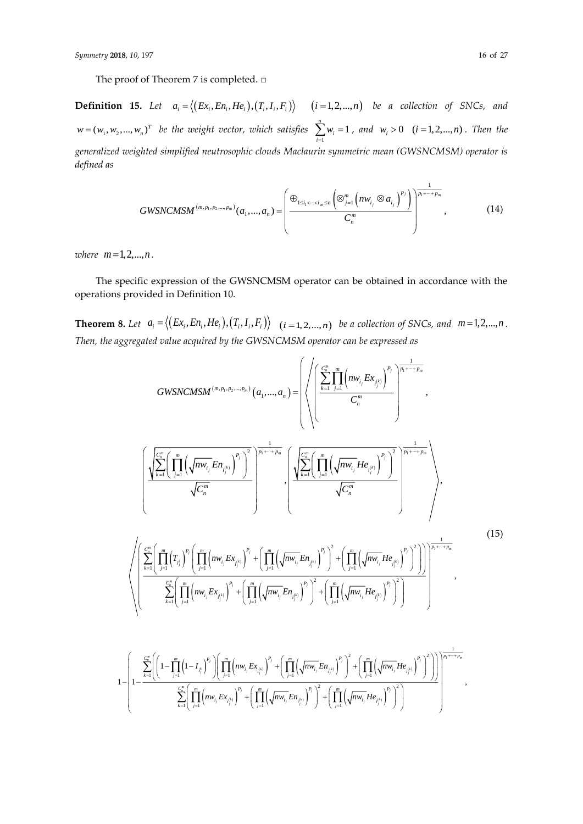**Definition 15.** Let  $a_i = \langle (Ex_i, En_i, He_i), (T_i, I_i, F_i) \rangle$   $(i = 1, 2, ..., n)$  be a collection of SNCs, and  $w = (w_1, w_2, ..., w_n)^T$  be the weight vector, which satisfies  $\sum_{i=1}^{n}$  $\sum_{m=1}^{n} w_m = 1$ ∠ ″i<br><sub>i=1</sub> *w*  $\sum_{i=1}^{n} w_i = 1$ , and  $w_i > 0$   $(i = 1, 2, ..., n)$ . Then the *generalized weighted simplified neutrosophic clouds Maclaurin symmetric mean (GWSNCMSM) operator is defined as*

$$
GWSNCMSM^{(m,p_1,p_2,...,p_m)}(a_1,...,a_n) = \left(\frac{\bigoplus_{1 \le i_1 < \dots < i_m \le n} \left(\otimes_{j=1}^m \left(nw_{i_j} \otimes a_{i_j}\right)^{p_j}\right)}{C_n^m}\right)^{\frac{1}{p_1+\dots+p_m}},
$$
\n(14)

 $where \, m=1,2,...,n$ .

The specific expression of the GWSNCMSM operator can be obtained in accordance with the operations provided in Definition 10.

**Theorem 8.** Let  $a_i = \langle (Ex_i, En_i, He_i), (T_i, I_i, F_i) \rangle \mid (i = 1, 2, ..., n)$  be a collection of SNCs, and  $m = 1, 2, ..., n$ . *Then, the aggregated value acquired by the GWSNCMSM operator can be expressed as*

$$
GWSNCMSM^{(m,p_1,p_2,...,p_m)}(a_1,...,a_n) = \left\{\left(\left(\sum_{k=1}^{C_n^m} \prod_{j=1}^m \left(m_{V_{i_j}} E x_{l_{i_j}^{(k)}}\right)^{p_j}\right)^{\frac{1}{p_j + \dots + p_m}}, \left(\sum_{k=1}^{C_n^m} \left(\sum_{j=1}^m \left(\sqrt{n w_{i_j}} E x_{l_{i_j}^{(k)}}\right)^{p_j}\right)^{\frac{1}{p_j + \dots + p_m}}\right)^{\frac{1}{p_j + \dots + p_m}},\right\}
$$
\n
$$
\left(\frac{\sqrt{\sum_{k=1}^{C_n^m} \left(\prod_{j=1}^m \left(\sqrt{n w_{i_j}} E n_{l_{i_j}^{(k)}}\right)^{p_j}\right)^2}}{\sqrt{C_n^m}}\right)^{\frac{1}{p_j + \dots + p_m}} \cdot \left(\frac{\sqrt{\sum_{k=1}^{C_n^m} \left(\prod_{j=1}^m \left(\sqrt{n w_{i_j}} E n_{l_{i_j}^{(k)}}\right)^{p_j}\right)^2}}{\sqrt{C_n^m}}\right)^{\frac{1}{p_j + \dots + p_m}}\right\}
$$
\n
$$
\left(\left(\sum_{k=1}^{C_n^m} \left(\prod_{j=1}^m \left(T_{l_j}^*\right)^{p_j} \left(\prod_{j=1}^m \left(m_{V_{i_j}} E x_{l_{i_j}^{(k)}}\right)^{p_j} + \left(\prod_{j=1}^m \left(\sqrt{n w_{i_j}} E n_{l_{i_j}^{(k)}}\right)^{p_j}\right)^2 + \left(\prod_{j=1}^m \left(\sqrt{n w_{i_j}} H e_{l_{i_j}^{(k)}}\right)^{p_j}\right)^2\right)\right)^{\frac{1}{p_j + \dots + p_m}}}\right\}
$$
\n
$$
1 - \left(\frac{\sum_{k=1}^{C_n^m} \left(\left(1 - \prod_{j=1}^m \left(1 - I_{l_j}\right)^{p_j}\right) \left(\prod_{j=1}^m \left(m_{V_{i_j}} E x_{l_{i_j}^{(k)}}\right)^{p_j} + \left(\prod_{j=1}^m \left(\sqrt{n w_{i_j}} E n_{l_{i_j}^{(k)}}\right)^{p_j}\right)^2 + \left(\prod_{j=1}^m \left(\sqrt{n w_{i_j}} H e_{l_{i_j
$$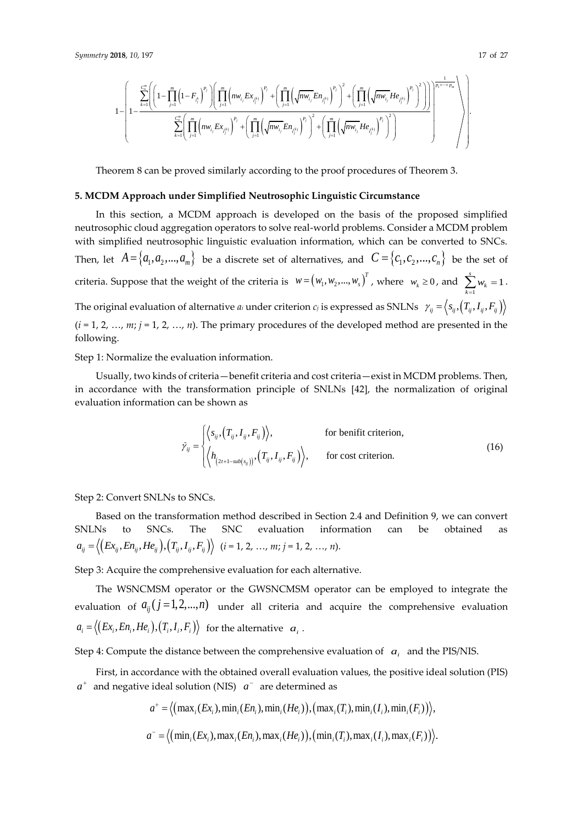$$
\begin{split} &\ 0\textbf{18, 10, 197} \\[10pt] &\ 1-\left(1-\sum_{i=1}^{c_{n}^{n}}\left(\left(1-\prod_{j=1}^{m}\left(1-F_{i_{j}^{k}}\right)^{p_{j}}\right)\left(\prod_{j=1}^{m}\left(nw_{i_{j}}Ex_{i_{j}^{(k)}}\right)^{p_{j}}+\left(\prod_{j=1}^{m}\left(\sqrt{nw_{i_{j}}}En_{i_{j}^{(k)}}\right)^{p_{j}}\right)^{2}+\left(\prod_{j=1}^{m}\left(\sqrt{nw_{i_{j}}}He_{i_{j}^{(k)}}\right)^{p_{j}}\right)^{2}\right)\right)\right)^{\frac{1}{p_{i}+\cdots+p_{n}}}\right)\\ &\quad1-\left(1-\sum_{k=1}^{c_{n}^{m}}\left(\prod_{j=1}^{m}\left(nw_{i_{j}}Ex_{i_{j}^{(k)}}\right)^{p_{j}}+\left(\prod_{j=1}^{m}\left(\sqrt{nw_{i_{j}}}En_{i_{j}^{(k)}}\right)^{p_{j}}\right)^{2}+\left(\prod_{j=1}^{m}\left(\sqrt{nw_{i_{j}}}He_{i_{j}^{(k)}}\right)^{p_{j}}\right)^{2}\right)\right)^{\frac{1}{p_{i}+\cdots+p_{n}}}\right)\\ &\quad\left(\left(\prod_{j=1}^{m}\left(nw_{i_{j}}Ex_{i_{j}^{(k)}}\right)^{p_{j}}+\left(\prod_{j=1}^{m}\left(\sqrt{nw_{i_{j}}}En_{i_{j}^{(k)}}\right)^{p_{j}}\right)^{2}+\left(\prod_{j=1}^{m}\left(\sqrt{nw_{i_{j}}}He_{i_{j}^{(k)}}\right)^{p_{j}}\right)^{2}\right)\right)^{\frac{1}{p_{i}+\cdots+p_{n}}}\right)\\ \end{split}
$$

Theorem 8 can be proved similarly according to the proof procedures of Theorem 3.

#### **5. MCDM Approach under Simplified Neutrosophic Linguistic Circumstance**

In this section, a MCDM approach is developed on the basis of the proposed simplified neutrosophic cloud aggregation operators to solve real-world problems. Consider a MCDM problem with simplified neutrosophic linguistic evaluation information, which can be converted to SNCs. Then, let  $A = \{a_1, a_2, ..., a_m\}$  be a discrete set of alternatives, and  $C = \{c_1, c_2, ..., c_n\}$  be the set of criteria. Suppose that the weight of the criteria is  $w = (w_1, w_2, ..., w_s)^T$ , where  $w_k \ge 0$ , and  $\sum_{k=1}^s$  $\sum^s w_i = 1$ ∠ ″ <sup>′′</sup> <sup>*k*</sup> *w*  $\sum_{k=1} w_k = 1$ . The original evaluation of alternative  $a_i$  under criterion  $c_j$  is expressed as SNLNs  $\gamma_{ij} = \left\langle s_{ij},(T_{_{ij}},I_{_{ij}},F_{_{ij}})\right\rangle$ (*i* = 1, 2, …, *m*; *j* = 1, 2, …, *n*). The primary procedures of the developed method are presented in the following.

Step 1: Normalize the evaluation information.

Usually, two kinds of criteria—benefit criteria and cost criteria—exist in MCDM problems. Then, in accordance with the transformation principle of SNLNs [42], the normalization of original evaluation information can be shown as

$$
\tilde{\gamma}_{ij} = \begin{cases}\n\langle s_{ij}, (T_{ij}, I_{ij}, F_{ij}) \rangle, & \text{for benefit criterion,} \\
\langle h_{(2t+1-sub(s_{ij}))}, (T_{ij}, I_{ij}, F_{ij}) \rangle, & \text{for cost criterion.} \n\end{cases}
$$
\n(16)

Step 2: Convert SNLNs to SNCs.

Based on the transformation method described in Section 2.4 and Definition 9, we can convert SNLNs to SNCs. The SNC evaluation information can be obtained as  $a_{ij} = \langle (Ex_{ij}, En_{ij}, He_{ij}), (T_{ij}, I_{ij}, F_{ij}) \rangle$  (*i* = 1, 2, …, *m*; *j* = 1, 2, …, *n*).

Step 3: Acquire the comprehensive evaluation for each alternative.

The WSNCMSM operator or the GWSNCMSM operator can be employed to integrate the evaluation of  $a_{ij}$   $(j=1,2,...,n)$  under all criteria and acquire the comprehensive evaluation  $a_i = \big\langle \big(E x_i, E n_i, H e_i\big), \big(T_i, I_i, F_i\big) \big\rangle$  for the alternative  $|a_i\rangle$ .

Step 4: Compute the distance between the comprehensive evaluation of  $\alpha_i$  and the PIS/NIS.

First, in accordance with the obtained overall evaluation values, the positive ideal solution (PIS)

$$
a^+
$$
 and negative ideal solution (NIS)  $a^-$  are determined as  
\n
$$
a^+ = \langle \left( \max_i (Ex_i), \min_i (En_i), \min_i (He_i) \right), \left( \max_i (T_i), \min_i (I_i), \min_i (F_i) \right) \rangle,
$$
\n
$$
a^- = \langle \left( \min_i (Ex_i), \max_i (En_i), \max_i (He_i) \right), \left( \min_i (T_i), \max_i (I_i), \max_i (F_i) \right) \rangle.
$$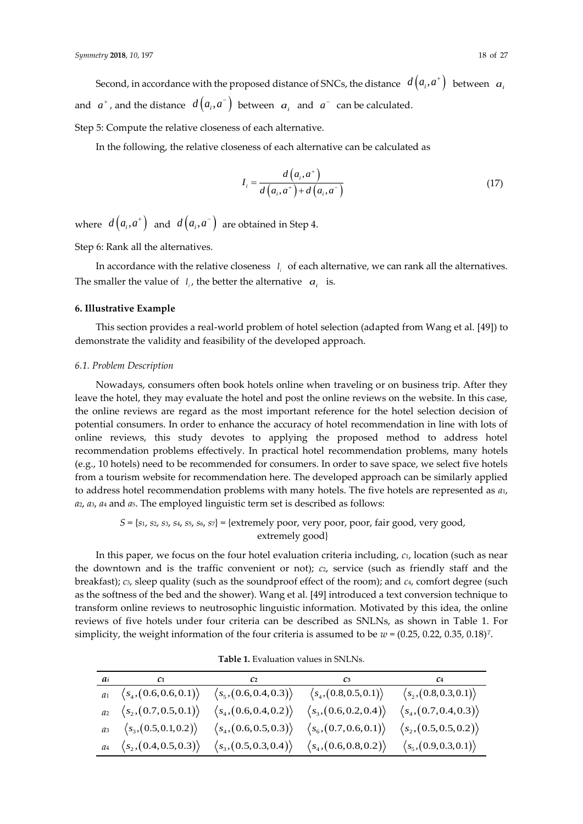Second, in accordance with the proposed distance of SNCs, the distance  $d\left(a_{i},a^{+}\right)$  between  $|a_{i}|$ and  $a^+$ , and the distance  $d\left(a_i,a^-\right)$  between  $\left.a_i\right.$  and  $\left.a^-\right.$  can be calculated.

Step 5: Compute the relative closeness of each alternative.

In the following, the relative closeness of each alternative can be calculated as

$$
I_{i} = \frac{d(a_{i}, a^{+})}{d(a_{i}, a^{+}) + d(a_{i}, a^{-})}
$$
(17)

where  $d\left( a_{_{l}},a^{_{+}}\right)$  and  $d\left( a_{_{l}},a^{_{-}}\right)$  are obtained in Step 4.

Step 6: Rank all the alternatives.

In accordance with the relative closeness  $I_i$  of each alternative, we can rank all the alternatives. The smaller the value of  $I_i$ , the better the alternative  $a_i$  is.

#### **6. Illustrative Example**

This section provides a real-world problem of hotel selection (adapted from Wang et al. [49]) to demonstrate the validity and feasibility of the developed approach.

#### *6.1. Problem Description*

Nowadays, consumers often book hotels online when traveling or on business trip. After they leave the hotel, they may evaluate the hotel and post the online reviews on the website. In this case, the online reviews are regard as the most important reference for the hotel selection decision of potential consumers. In order to enhance the accuracy of hotel recommendation in line with lots of online reviews, this study devotes to applying the proposed method to address hotel recommendation problems effectively. In practical hotel recommendation problems, many hotels (e.g., 10 hotels) need to be recommended for consumers. In order to save space, we select five hotels from a tourism website for recommendation here. The developed approach can be similarly applied to address hotel recommendation problems with many hotels. The five hotels are represented as *a*1, *a*2, *a*3, *a*<sup>4</sup> and *a*5. The employed linguistic term set is described as follows:

# *S* = {*s*1, *s*2, *s*3, *s*4, *s*5, *s*6, *s*7} = {extremely poor, very poor, poor, fair good, very good, extremely good}

In this paper, we focus on the four hotel evaluation criteria including, *c*1, location (such as near the downtown and is the traffic convenient or not); *c*2, service (such as friendly staff and the breakfast); *c*3, sleep quality (such as the soundproof effect of the room); and *c*4, comfort degree (such as the softness of the bed and the shower). Wang et al. [49] introduced a text conversion technique to transform online reviews to neutrosophic linguistic information. Motivated by this idea, the online reviews of five hotels under four criteria can be described as SNLNs, as shown in Table 1. For simplicity, the weight information of the four criteria is assumed to be *w* = (0.25, 0.22, 0.35, 0.18)*T*.

| $a_i$ $c_1$ $c_2$                                     |                                        | $\mathcal{C}3$                         | C <sub>4</sub>                         |
|-------------------------------------------------------|----------------------------------------|----------------------------------------|----------------------------------------|
| $a_1 \left\langle s_4, (0.6, 0.6, 0.1) \right\rangle$ | $\langle s_5, (0.6, 0.4, 0.3) \rangle$ | $\langle s_4, (0.8,0.5,0.1) \rangle$   | $\langle s_2, (0.8, 0.3, 0.1) \rangle$ |
| $a_2 \langle s_2, (0.7, 0.5, 0.1) \rangle$            | $\langle s_4, (0.6, 0.4, 0.2) \rangle$ | $\langle s_3, (0.6, 0.2, 0.4) \rangle$ | $\langle s_4, (0.7, 0.4, 0.3) \rangle$ |
| $a_3 \quad \langle s_3, (0.5, 0.1, 0.2) \rangle$      | $\langle s_4, (0.6, 0.5, 0.3) \rangle$ | $\langle s_6, (0.7, 0.6, 0.1) \rangle$ | $\langle s_2, (0.5, 0.5, 0.2) \rangle$ |
| $a_4 \left\langle s_2, (0.4, 0.5, 0.3) \right\rangle$ | $\langle s_3, (0.5, 0.3, 0.4) \rangle$ | $\langle s_4, (0.6, 0.8, 0.2) \rangle$ | $\langle s_5, (0.9, 0.3, 0.1) \rangle$ |

**Table 1.** Evaluation values in SNLNs.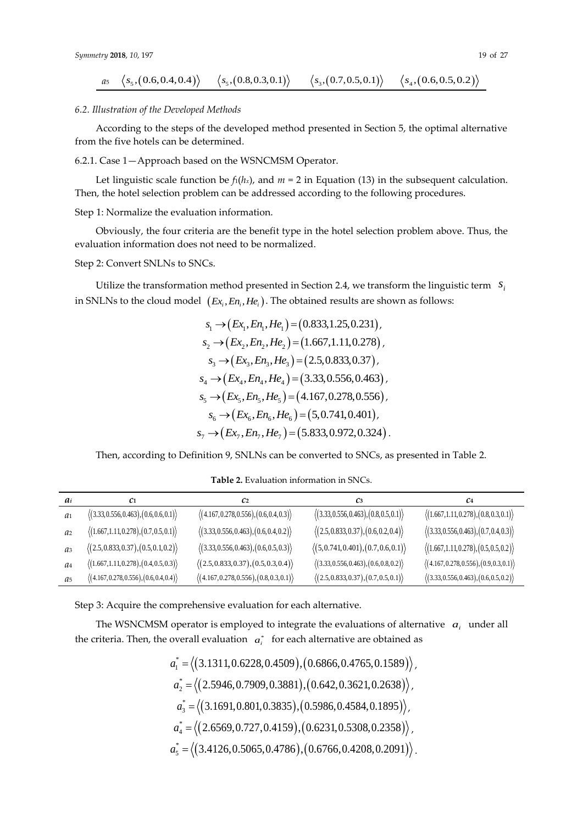$$
a_5 \left\langle s_5, (0.6, 0.4, 0.4) \right\rangle \quad \left\langle s_5, (0.8, 0.3, 0.1) \right\rangle \quad \left\langle s_3, (0.7, 0.5, 0.1) \right\rangle \quad \left\langle s_4, (0.6, 0.5, 0.2) \right\rangle
$$

#### *6.2. Illustration of the Developed Methods*

According to the steps of the developed method presented in Section 5, the optimal alternative from the five hotels can be determined.

6.2.1. Case 1—Approach based on the WSNCMSM Operator.

Let linguistic scale function be  $f_1(h_x)$ , and  $m = 2$  in Equation (13) in the subsequent calculation. Then, the hotel selection problem can be addressed according to the following procedures.

Step 1: Normalize the evaluation information.

Obviously, the four criteria are the benefit type in the hotel selection problem above. Thus, the evaluation information does not need to be normalized.

# Step 2: Convert SNLNs to SNCs.

Utilize the transformation method presented in Section 2.4, we transform the linguistic term  $s_i$ in SNLNs to the cloud model  $\left(Ex_{i},En_{i},He_{i}\right)$ . The obtained results are shown as follows:

$$
s_1 \rightarrow (Ex_1, En_1, He_1) = (0.833, 1.25, 0.231),
$$
  
\n
$$
s_2 \rightarrow (Ex_2, En_2, He_2) = (1.667, 1.11, 0.278),
$$
  
\n
$$
s_3 \rightarrow (Ex_3, En_3, He_3) = (2.5, 0.833, 0.37),
$$
  
\n
$$
s_4 \rightarrow (Ex_4, En_4, He_4) = (3.33, 0.556, 0.463),
$$
  
\n
$$
s_5 \rightarrow (Ex_5, En_5, He_5) = (4.167, 0.278, 0.556),
$$
  
\n
$$
s_6 \rightarrow (Ex_6, En_6, He_6) = (5, 0.741, 0.401),
$$
  
\n
$$
s_7 \rightarrow (Ex_7, En_7, He_7) = (5.833, 0.972, 0.324).
$$

Then, according to Definition 9, SNLNs can be converted to SNCs, as presented in Table 2.

| ai             | C1.                                                      | C <sub>2</sub>                                           | C <sub>3</sub>                                          | C <sub>4</sub>                                           |
|----------------|----------------------------------------------------------|----------------------------------------------------------|---------------------------------------------------------|----------------------------------------------------------|
| a <sub>1</sub> | $\langle (3.33, 0.556, 0.463), (0.6, 0.6, 0.1) \rangle$  | $\langle (4.167, 0.278, 0.556), (0.6, 0.4, 0.3) \rangle$ | $\langle (3.33, 0.556, 0.463), (0.8, 0.5, 0.1) \rangle$ | $\langle (1.667, 1.11, 0.278), (0.8, 0.3, 0.1) \rangle$  |
| a <sub>2</sub> | $\langle (1.667, 1.11, 0.278), (0.7, 0.5, 0.1) \rangle$  | $\langle (3.33, 0.556, 0.463), (0.6, 0.4, 0.2) \rangle$  | $\langle (2.5, 0.833, 0.37), (0.6, 0.2, 0.4) \rangle$   | $\langle (3.33, 0.556, 0.463), (0.7, 0.4, 0.3) \rangle$  |
| $a_3$          | $\langle (2.5, 0.833, 0.37), (0.5, 0.1, 0.2) \rangle$    | $\langle (3.33, 0.556, 0.463), (0.6, 0.5, 0.3) \rangle$  | $\langle (5, 0.741, 0.401), (0.7, 0.6, 0.1) \rangle$    | $\langle (1.667, 1.11, 0.278), (0.5, 0.5, 0.2) \rangle$  |
| a <sub>4</sub> | $\langle (1.667, 1.11, 0.278), (0.4, 0.5, 0.3) \rangle$  | $\langle (2.5, 0.833, 0.37), (0.5, 0.3, 0.4) \rangle$    | $\langle (3.33, 0.556, 0.463), (0.6, 0.8, 0.2) \rangle$ | $\langle (4.167, 0.278, 0.556), (0.9, 0.3, 0.1) \rangle$ |
| a <sub>5</sub> | $\langle (4.167, 0.278, 0.556), (0.6, 0.4, 0.4) \rangle$ | $\langle (4.167, 0.278, 0.556), (0.8, 0.3, 0.1) \rangle$ | $\langle (2.5, 0.833, 0.37), (0.7, 0.5, 0.1) \rangle$   | $\langle (3.33, 0.556, 0.463), (0.6, 0.5, 0.2) \rangle$  |

**Table 2.** Evaluation information in SNCs.

Step 3: Acquire the comprehensive evaluation for each alternative.

The WSNCMSM operator is employed to integrate the evaluations of alternative  $a_i$  under all the criteria. Then, the overall evaluation  $\alpha^*_i$  for each alternative are obtained as

$$
a_1^* = \langle (3.1311, 0.6228, 0.4509), (0.6866, 0.4765, 0.1589) \rangle,
$$
  
\n
$$
a_2^* = \langle (2.5946, 0.7909, 0.3881), (0.642, 0.3621, 0.2638) \rangle,
$$
  
\n
$$
a_3^* = \langle (3.1691, 0.801, 0.3835), (0.5986, 0.4584, 0.1895) \rangle,
$$
  
\n
$$
a_4^* = \langle (2.6569, 0.727, 0.4159), (0.6231, 0.5308, 0.2358) \rangle,
$$
  
\n
$$
a_5^* = \langle (3.4126, 0.5065, 0.4786), (0.6766, 0.4208, 0.2091) \rangle.
$$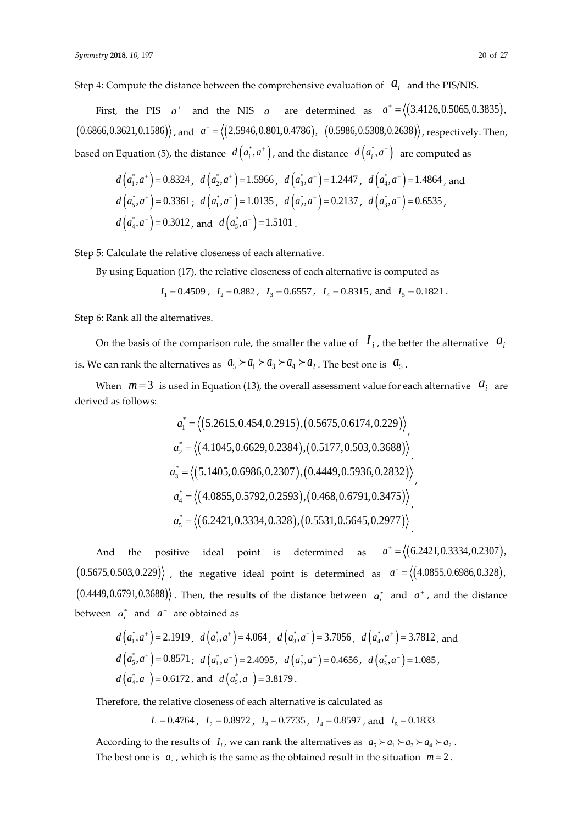Step 4: Compute the distance between the comprehensive evaluation of  $\left|a_{i}\right|$  and the PIS/NIS.

First, the PIS  $a^+$  and the NIS  $a^-$  are determined as  $a^+ = \langle (3.4126, 0.5065, 0.3835) ,$  $(0.6866, 0.3621, 0.1586)$ , and  $a^- = (2.5946, 0.801, 0.4786)$ ,  $(0.5986, 0.5308, 0.2638)$ , respectively. Then, based on Equation (5), the distance  $d\left(a_i^*,a^+\right)$ , and the distance  $d\left(a_i^*,a^-\right)$  are computed as

$$
d\left(a_1^*, a^+\right) = 0.8324, \quad d\left(a_2^*, a^+\right) = 1.5966, \quad d\left(a_3^*, a^+\right) = 1.2447, \quad d\left(a_4^*, a^+\right) = 1.4864, \text{ and}
$$
\n
$$
d\left(a_5^*, a^+\right) = 0.3361; \quad d\left(a_1^*, a^-\right) = 1.0135, \quad d\left(a_2^*, a^-\right) = 0.2137, \quad d\left(a_3^*, a^-\right) = 0.6535,
$$
\n
$$
d\left(a_4^*, a^-\right) = 0.3012, \text{ and } \quad d\left(a_5^*, a^-\right) = 1.5101.
$$

Step 5: Calculate the relative closeness of each alternative.

By using Equation (17), the relative closeness of each alternative is computed as

$$
I_1 = 0.4509
$$
,  $I_2 = 0.882$ ,  $I_3 = 0.6557$ ,  $I_4 = 0.8315$ , and  $I_5 = 0.1821$ .

Step 6: Rank all the alternatives.

On the basis of the comparison rule, the smaller the value of  $\,I_{i}$ , the better the alternative  $\,$   $\,a_{i}$ is. We can rank the alternatives as  $a_5 \succ a_1 \succ a_3 \succ a_4 \succ a_2$  . The best one is  $a_5$  .

When  $m=3$  is used in Equation (13), the overall assessment value for each alternative  $a_i$  are derived as follows:

$$
a_1^* = \langle (5.2615, 0.454, 0.2915), (0.5675, 0.6174, 0.229) \rangle
$$
  
\n
$$
a_2^* = \langle (4.1045, 0.6629, 0.2384), (0.5177, 0.503, 0.3688) \rangle
$$
  
\n
$$
a_3^* = \langle (5.1405, 0.6986, 0.2307), (0.4449, 0.5936, 0.2832) \rangle
$$
  
\n
$$
a_4^* = \langle (4.0855, 0.5792, 0.2593), (0.468, 0.6791, 0.3475) \rangle
$$
  
\n
$$
a_5^* = \langle (6.2421, 0.3334, 0.328), (0.5531, 0.5645, 0.2977) \rangle
$$

And the positive ideal point is determined as  $a^+ = \langle (6.2421, 0.3334, 0.2307),$  $(0.5675, 0.503, 0.229)$  , the negative ideal point is determined as  $a^- = \big\langle (4.0855, 0.6986, 0.328) ,$  $(0.4449, 0.6791, 0.3688)$ . Then, the results of the distance between  $a_i^*$  and  $a^*$ , and the distance between  $a_i^*$  and  $a^-$  are obtained as

$$
d\left(a_1^*, a^+\right) = 2.1919, \quad d\left(a_2^*, a^+\right) = 4.064, \quad d\left(a_3^*, a^+\right) = 3.7056, \quad d\left(a_4^*, a^+\right) = 3.7812, \text{ and } d\left(a_5^*, a^+\right) = 0.8571; \quad d\left(a_1^*, a^-\right) = 2.4095, \quad d\left(a_2^*, a^-\right) = 0.4656, \quad d\left(a_3^*, a^-\right) = 1.085, \quad d\left(a_4^*, a^-\right) = 0.6172, \text{ and } d\left(a_5^*, a^-\right) = 3.8179.
$$

Therefore, the relative closeness of each alternative is calculated as

 $I_1 = 0.4764$ ,  $I_2 = 0.8972$ ,  $I_3 = 0.7735$ ,  $I_4 = 0.8597$ , and  $I_5 = 0.1833$ 

According to the results of  $I_i$ , we can rank the alternatives as  $a_5 \succ a_1 \succ a_3 \succ a_4 \succ a_2$ . The best one is  $a_5$ , which is the same as the obtained result in the situation  $m = 2$ .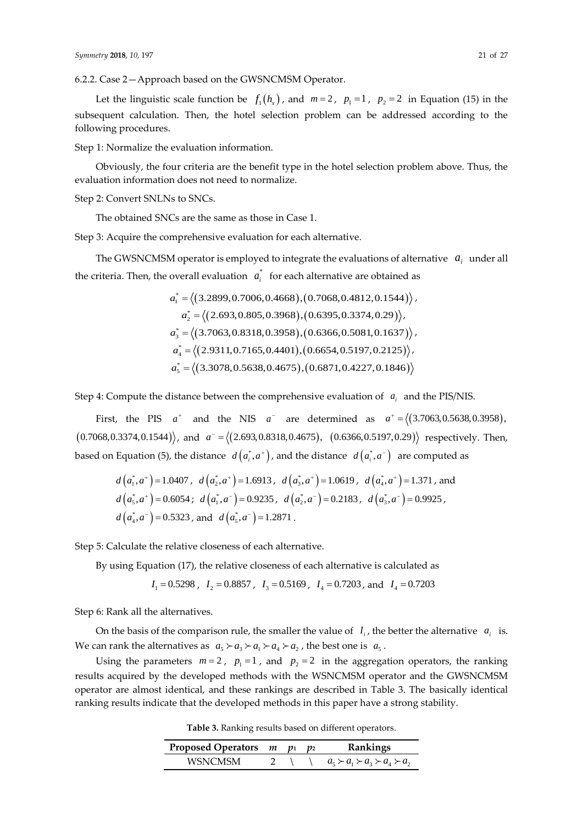6.2.2. Case 2—Approach based on the GWSNCMSM Operator.

Let the linguistic scale function be  $f_1(h_x)$ , and  $m=2$ ,  $p_1=1$ ,  $p_2=2$  in Equation (15) in the subsequent calculation. Then, the hotel selection problem can be addressed according to the following procedures.

Step 1: Normalize the evaluation information.

Obviously, the four criteria are the benefit type in the hotel selection problem above. Thus, the evaluation information does not need to normalize.

Step 2: Convert SNLNs to SNCs.

The obtained SNCs are the same as those in Case 1.

Step 3: Acquire the comprehensive evaluation for each alternative.

The GWSNCMSM operator is employed to integrate the evaluations of alternative  $a_i$  under all the criteria. Then, the overall evaluation  $a_i^*$  for each alternative are obtained as

$$
a_1^* = \langle (3.2899, 0.7006, 0.4668), (0.7068, 0.4812, 0.1544) \rangle,
$$
  
\n
$$
a_2^* = \langle (2.693, 0.805, 0.3968), (0.6395, 0.3374, 0.29) \rangle,
$$
  
\n
$$
a_3^* = \langle (3.7063, 0.8318, 0.3958), (0.6366, 0.5081, 0.1637) \rangle,
$$
  
\n
$$
a_4^* = \langle (2.9311, 0.7165, 0.4401), (0.6654, 0.5197, 0.2125) \rangle,
$$
  
\n
$$
a_5^* = \langle (3.3078, 0.5638, 0.4675), (0.6871, 0.4227, 0.1846) \rangle
$$

Step 4: Compute the distance between the comprehensive evaluation of  $a_i$  and the PIS/NIS.

First, the PIS  $a^+$  and the NIS  $a^-$  are determined as  $a^+ = \langle (3.7063, 0.5638, 0.3958),$  $(0.7068, 0.3374, 0.1544)$ , and  $a^- = \langle (2.693, 0.8318, 0.4675)$ ,  $(0.6366, 0.5197, 0.29)$  respectively. Then, based on Equation (5), the distance  $d\left(a_i^*,a^+\right)$ , and the distance  $d\left(a_i^*,a^-\right)$  are computed as

$$
d(a_1^*, a^+) = 1.0407
$$
,  $d(a_2^*, a^+) = 1.6913$ ,  $d(a_3^*, a^+) = 1.0619$ ,  $d(a_4^*, a^+) = 1.371$ , and  
\n $d(a_5^*, a^+) = 0.6054$ ;  $d(a_1^*, a^-) = 0.9235$ ,  $d(a_2^*, a^-) = 0.2183$ ,  $d(a_3^*, a^-) = 0.9925$ ,  
\n $d(a_4^*, a^-) = 0.5323$ , and  $d(a_5^*, a^-) = 1.2871$ .

Step 5: Calculate the relative closeness of each alternative.

By using Equation (17), the relative closeness of each alternative is calculated as

$$
I_1 = 0.5298
$$
,  $I_2 = 0.8857$ ,  $I_3 = 0.5169$ ,  $I_4 = 0.7203$ , and  $I_4 = 0.7203$ 

Step 6: Rank all the alternatives.

On the basis of the comparison rule, the smaller the value of  $I_i$ , the better the alternative  $a_i$  is. We can rank the alternatives as  $a_5 \succ a_3 \succ a_1 \succ a_4 \succ a_2$ , the best one is  $a_5$ .

Using the parameters  $m=2$ ,  $p_1=1$ , and  $p_2=2$  in the aggregation operators, the ranking results acquired by the developed methods with the WSNCMSM operator and the GWSNCMSM operator are almost identical, and these rankings are described in Table 3. The basically identical ranking results indicate that the developed methods in this paper have a strong stability.

**Table 3.** Ranking results based on different operators.

| Proposed Operators $m$ $p_1$ $p_2$ |  | Rankings                                      |
|------------------------------------|--|-----------------------------------------------|
| WSNCMSM                            |  | $a_5 \succ a_1 \succ a_2 \succ a_4 \succ a_2$ |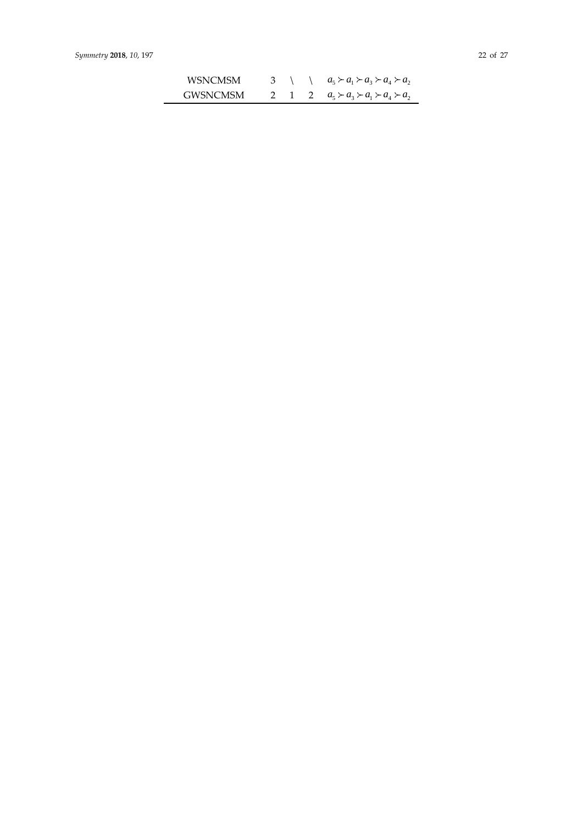| WSNCMSM  |  | 3 \ \ $a_5 \succ a_1 \succ a_3 \succ a_4 \succ a_2$ |
|----------|--|-----------------------------------------------------|
| GWSNCMSM |  | 2 1 2 $a_5 \succ a_3 \succ a_1 \succ a_4 \succ a_2$ |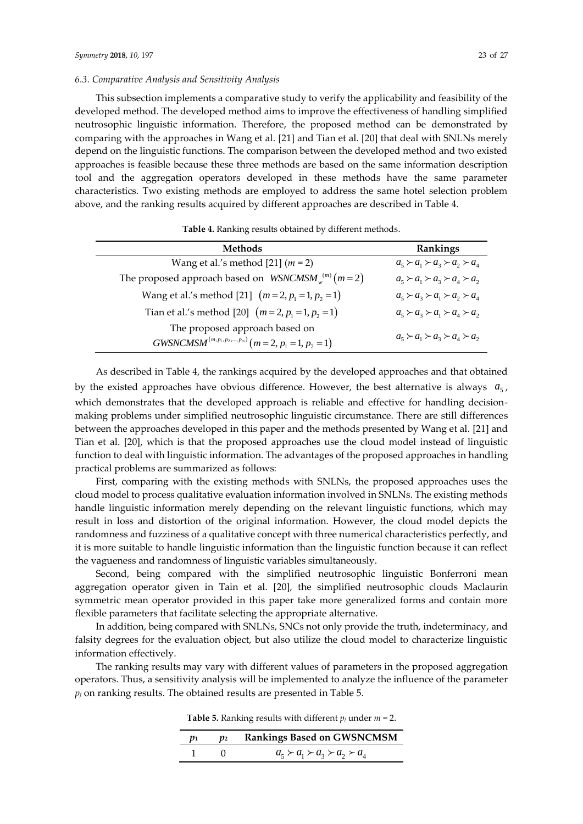# *6.3. Comparative Analysis and Sensitivity Analysis*

This subsection implements a comparative study to verify the applicability and feasibility of the developed method. The developed method aims to improve the effectiveness of handling simplified neutrosophic linguistic information. Therefore, the proposed method can be demonstrated by comparing with the approaches in Wang et al. [21] and Tian et al. [20] that deal with SNLNs merely depend on the linguistic functions. The comparison between the developed method and two existed approaches is feasible because these three methods are based on the same information description tool and the aggregation operators developed in these methods have the same parameter characteristics. Two existing methods are employed to address the same hotel selection problem above, and the ranking results acquired by different approaches are described in Table 4.

| <b>Methods</b>                                                                     | Rankings                                      |
|------------------------------------------------------------------------------------|-----------------------------------------------|
| Wang et al.'s method [21] $(m = 2)$                                                | $a_5 \succ a_1 \succ a_2 \succ a_2 \succ a_4$ |
| The proposed approach based on $WSNCMSM_{w}^{(m)}(m=2)$                            | $a_5 \succ a_1 \succ a_3 \succ a_4 \succ a_2$ |
| Wang et al.'s method [21] $(m=2, p_1=1, p_2=1)$                                    | $a_5 \succ a_3 \succ a_1 \succ a_2 \succ a_4$ |
| Tian et al.'s method [20] $(m=2, p_1=1, p_2=1)$                                    | $a_5 \succ a_3 \succ a_1 \succ a_4 \succ a_2$ |
| The proposed approach based on<br>$GWSNCMSM^{(m,p_1,p_2,,p_m)}(m=2, p_1=1, p_2=1)$ | $a_5 \succ a_1 \succ a_3 \succ a_4 \succ a_2$ |

**Table 4.** Ranking results obtained by different methods.

As described in Table 4, the rankings acquired by the developed approaches and that obtained by the existed approaches have obvious difference. However, the best alternative is always  $a_{5}$ , which demonstrates that the developed approach is reliable and effective for handling decisionmaking problems under simplified neutrosophic linguistic circumstance. There are still differences between the approaches developed in this paper and the methods presented by Wang et al. [21] and Tian et al. [20], which is that the proposed approaches use the cloud model instead of linguistic function to deal with linguistic information. The advantages of the proposed approaches in handling practical problems are summarized as follows:

First, comparing with the existing methods with SNLNs, the proposed approaches uses the cloud model to process qualitative evaluation information involved in SNLNs. The existing methods handle linguistic information merely depending on the relevant linguistic functions, which may result in loss and distortion of the original information. However, the cloud model depicts the randomness and fuzziness of a qualitative concept with three numerical characteristics perfectly, and it is more suitable to handle linguistic information than the linguistic function because it can reflect the vagueness and randomness of linguistic variables simultaneously.

Second, being compared with the simplified neutrosophic linguistic Bonferroni mean aggregation operator given in Tain et al. [20], the simplified neutrosophic clouds Maclaurin symmetric mean operator provided in this paper take more generalized forms and contain more flexible parameters that facilitate selecting the appropriate alternative.

In addition, being compared with SNLNs, SNCs not only provide the truth, indeterminacy, and falsity degrees for the evaluation object, but also utilize the cloud model to characterize linguistic information effectively.

The ranking results may vary with different values of parameters in the proposed aggregation operators. Thus, a sensitivity analysis will be implemented to analyze the influence of the parameter  $p_j$  on ranking results. The obtained results are presented in Table 5.

| <b>Table 5.</b> Ranking results with different $p_j$ under $m = 2$ . |  |  |  |  |
|----------------------------------------------------------------------|--|--|--|--|
|----------------------------------------------------------------------|--|--|--|--|

| 101 | p2 Rankings Based on GWSNCMSM                 |
|-----|-----------------------------------------------|
|     | $a_5 \succ a_1 \succ a_3 \succ a_2 \succ a_4$ |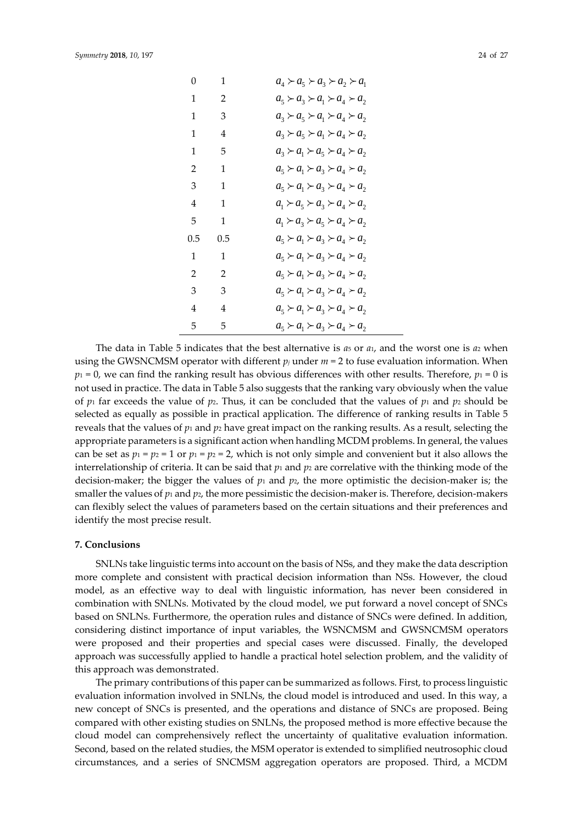| 0   | 1   | $a_4 \succ a_5 \succ a_3 \succ a_2 \succ a_1$ |
|-----|-----|-----------------------------------------------|
| 1   | 2   | $a_5 \succ a_3 \succ a_1 \succ a_4 \succ a_2$ |
| 1   | 3   | $a_3 \succ a_5 \succ a_1 \succ a_4 \succ a_2$ |
| 1   | 4   | $a_3 \succ a_5 \succ a_1 \succ a_4 \succ a_2$ |
| 1   | 5   | $a_3 \succ a_1 \succ a_5 \succ a_4 \succ a_2$ |
| 2   | 1   | $a_5 \succ a_1 \succ a_3 \succ a_4 \succ a_2$ |
| 3   | 1   | $a_5 \succ a_1 \succ a_3 \succ a_4 \succ a_2$ |
| 4   | 1   | $a_1 \succ a_5 \succ a_3 \succ a_4 \succ a_2$ |
| 5   | 1   | $a_1 \succ a_3 \succ a_5 \succ a_4 \succ a_2$ |
| 0.5 | 0.5 | $a_5 \succ a_1 \succ a_3 \succ a_4 \succ a_2$ |
| 1   | 1   | $a_5 \succ a_1 \succ a_3 \succ a_4 \succ a_2$ |
| 2   | 2   | $a_5 \succ a_1 \succ a_3 \succ a_4 \succ a_2$ |
| 3   | 3   | $a_5 \succ a_1 \succ a_3 \succ a_4 \succ a_2$ |
| 4   | 4   | $a_5 \succ a_1 \succ a_3 \succ a_4 \succ a_2$ |
| 5   | 5   | $a_5 \succ a_1 \succ a_3 \succ a_4 \succ a_2$ |

The data in Table 5 indicates that the best alternative is  $a_5$  or  $a_1$ , and the worst one is  $a_2$  when using the GWSNCMSM operator with different  $p_j$  under  $m = 2$  to fuse evaluation information. When  $p_1 = 0$ , we can find the ranking result has obvious differences with other results. Therefore,  $p_1 = 0$  is not used in practice. The data in Table 5 also suggests that the ranking vary obviously when the value of  $p_1$  far exceeds the value of  $p_2$ . Thus, it can be concluded that the values of  $p_1$  and  $p_2$  should be selected as equally as possible in practical application. The difference of ranking results in Table 5 reveals that the values of  $p_1$  and  $p_2$  have great impact on the ranking results. As a result, selecting the appropriate parameters is a significant action when handling MCDM problems. In general, the values can be set as  $p_1 = p_2 = 1$  or  $p_1 = p_2 = 2$ , which is not only simple and convenient but it also allows the interrelationship of criteria. It can be said that  $p_1$  and  $p_2$  are correlative with the thinking mode of the decision-maker; the bigger the values of  $p_1$  and  $p_2$ , the more optimistic the decision-maker is; the smaller the values of  $p_1$  and  $p_2$ , the more pessimistic the decision-maker is. Therefore, decision-makers can flexibly select the values of parameters based on the certain situations and their preferences and identify the most precise result.

#### **7. Conclusions**

SNLNs take linguistic terms into account on the basis of NSs, and they make the data description more complete and consistent with practical decision information than NSs. However, the cloud model, as an effective way to deal with linguistic information, has never been considered in combination with SNLNs. Motivated by the cloud model, we put forward a novel concept of SNCs based on SNLNs. Furthermore, the operation rules and distance of SNCs were defined. In addition, considering distinct importance of input variables, the WSNCMSM and GWSNCMSM operators were proposed and their properties and special cases were discussed. Finally, the developed approach was successfully applied to handle a practical hotel selection problem, and the validity of this approach was demonstrated.

The primary contributions of this paper can be summarized as follows. First, to process linguistic evaluation information involved in SNLNs, the cloud model is introduced and used. In this way, a new concept of SNCs is presented, and the operations and distance of SNCs are proposed. Being compared with other existing studies on SNLNs, the proposed method is more effective because the cloud model can comprehensively reflect the uncertainty of qualitative evaluation information. Second, based on the related studies, the MSM operator is extended to simplified neutrosophic cloud circumstances, and a series of SNCMSM aggregation operators are proposed. Third, a MCDM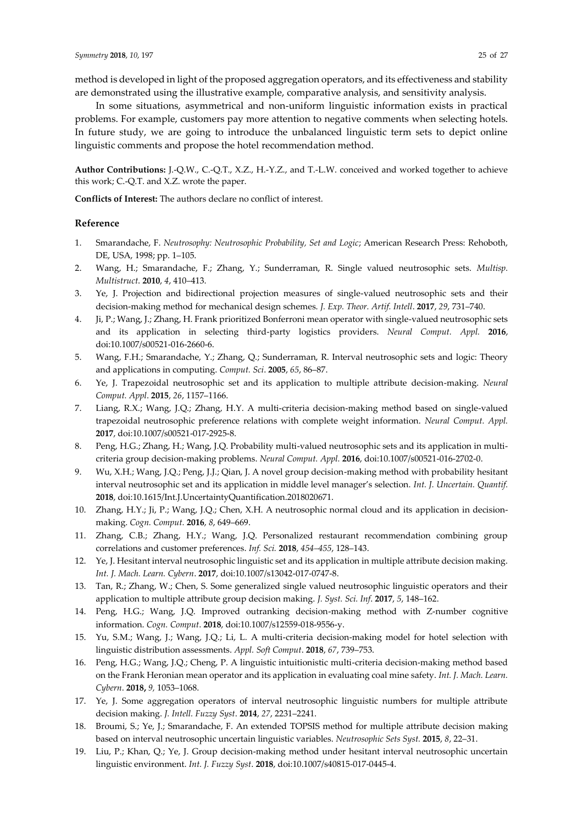method is developed in light of the proposed aggregation operators, and its effectiveness and stability are demonstrated using the illustrative example, comparative analysis, and sensitivity analysis.

In some situations, asymmetrical and non-uniform linguistic information exists in practical problems. For example, customers pay more attention to negative comments when selecting hotels. In future study, we are going to introduce the unbalanced linguistic term sets to depict online linguistic comments and propose the hotel recommendation method.

**Author Contributions:** J.-Q.W., C.-Q.T., X.Z., H.-Y.Z., and T.-L.W. conceived and worked together to achieve this work; C.-Q.T. and X.Z. wrote the paper.

**Conflicts of Interest:** The authors declare no conflict of interest.

#### **Reference**

- 1. Smarandache, F. *Neutrosophy: Neutrosophic Probability, Set and Logic*; American Research Press: Rehoboth, DE, USA, 1998; pp. 1–105.
- 2. Wang, H.; Smarandache, F.; Zhang, Y.; Sunderraman, R. Single valued neutrosophic sets. *Multisp. Multistruct*. **2010**, *4*, 410–413.
- 3. Ye, J. Projection and bidirectional projection measures of single-valued neutrosophic sets and their decision-making method for mechanical design schemes. *J. Exp. Theor. Artif. Intell*. **2017**, *29*, 731–740.
- 4. Ji, P.; Wang, J.; Zhang, H. Frank prioritized Bonferroni mean operator with single-valued neutrosophic sets and its application in selecting third-party logistics providers. *Neural Comput. Appl.* **2016**, doi:10.1007/s00521-016-2660-6.
- 5. Wang, F.H.; Smarandache, Y.; Zhang, Q.; Sunderraman, R. Interval neutrosophic sets and logic: Theory and applications in computing. *Comput. Sci*. **2005**, *65*, 86–87.
- 6. Ye, J. Trapezoidal neutrosophic set and its application to multiple attribute decision-making. *Neural Comput. Appl*. **2015**, *26*, 1157–1166.
- 7. Liang, R.X.; Wang, J.Q.; Zhang, H.Y. A multi-criteria decision-making method based on single-valued trapezoidal neutrosophic preference relations with complete weight information. *Neural Comput. Appl.* **2017**, doi:10.1007/s00521-017-2925-8.
- 8. Peng, H.G.; Zhang, H.; Wang, J.Q. Probability multi-valued neutrosophic sets and its application in multicriteria group decision-making problems. *Neural Comput. Appl.* **2016**, doi:10.1007/s00521-016-2702-0.
- 9. Wu, X.H.; Wang, J.Q.; Peng, J.J.; Qian, J. A novel group decision-making method with probability hesitant interval neutrosophic set and its application in middle level manager's selection. *Int. J. Uncertain. Quantif.* **2018**, doi:10.1615/Int.J.UncertaintyQuantification.2018020671.
- 10. Zhang, H.Y.; Ji, P.; Wang, J.Q.; Chen, X.H. A neutrosophic normal cloud and its application in decisionmaking. *Cogn. Comput.* **2016**, *8*, 649–669.
- 11. Zhang, C.B.; Zhang, H.Y.; Wang, J.Q. Personalized restaurant recommendation combining group correlations and customer preferences. *Inf. Sci.* **2018**, *454–455*, 128–143.
- 12. Ye, J. Hesitant interval neutrosophic linguistic set and its application in multiple attribute decision making. *Int. J. Mach. Learn. Cybern*. **2017**, doi:10.1007/s13042-017-0747-8.
- 13. Tan, R.; Zhang, W.; Chen, S. Some generalized single valued neutrosophic linguistic operators and their application to multiple attribute group decision making. *J. Syst. Sci. Inf*. **2017**, *5*, 148–162.
- 14. Peng, H.G.; Wang, J.Q. Improved outranking decision-making method with Z-number cognitive information. *Cogn. Comput*. **2018**, doi:10.1007/s12559-018-9556-y.
- 15. Yu, S.M.; Wang, J.; Wang, J.Q.; Li, L. A multi-criteria decision-making model for hotel selection with linguistic distribution assessments. *Appl. Soft Comput*. **2018**, *67*, 739–753.
- 16. Peng, H.G.; Wang, J.Q.; Cheng, P. A linguistic intuitionistic multi-criteria decision-making method based on the Frank Heronian mean operator and its application in evaluating coal mine safety. *Int. J. Mach. Learn. Cybern*. **2018,** *9,* 1053–1068.
- 17. Ye, J. Some aggregation operators of interval neutrosophic linguistic numbers for multiple attribute decision making. *J. Intell. Fuzzy Syst*. **2014**, *27*, 2231–2241.
- 18. Broumi, S.; Ye, J.; Smarandache, F. An extended TOPSIS method for multiple attribute decision making based on interval neutrosophic uncertain linguistic variables. *Neutrosophic Sets Syst.* **2015**, *8*, 22–31.
- 19. Liu, P.; Khan, Q.; Ye, J. Group decision-making method under hesitant interval neutrosophic uncertain linguistic environment. *Int. J. Fuzzy Syst*. **2018**, doi:10.1007/s40815-017-0445-4.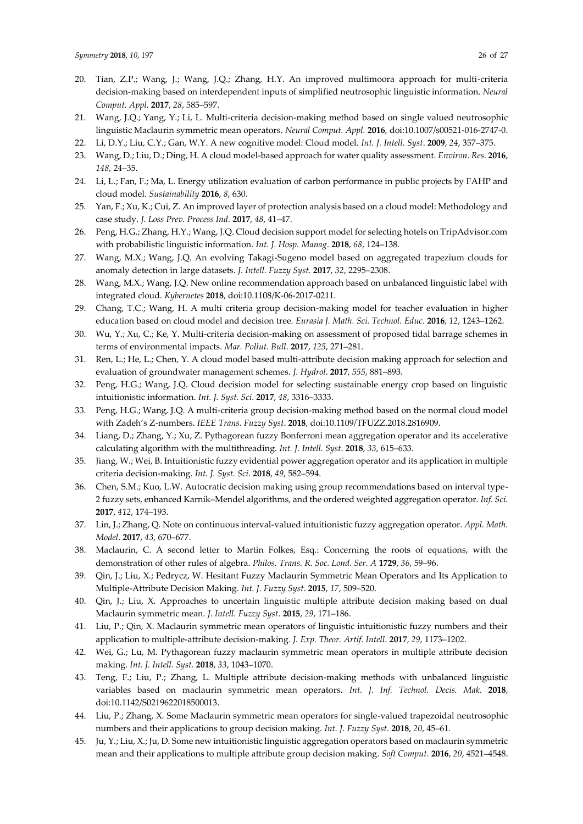- 20. Tian, Z.P.; Wang, J.; Wang, J.Q.; Zhang, H.Y. An improved multimoora approach for multi-criteria decision-making based on interdependent inputs of simplified neutrosophic linguistic information. *Neural Comput. Appl.* **2017**, *28*, 585–597.
- 21. Wang, J.Q.; Yang, Y.; Li, L. Multi-criteria decision-making method based on single valued neutrosophic linguistic Maclaurin symmetric mean operators. *Neural Comput. Appl.* **2016**, doi:10.1007/s00521-016-2747-0.
- 22. Li, D.Y.; Liu, C.Y.; Gan, W.Y. A new cognitive model: Cloud model. *Int. J. Intell. Syst*. **2009**, *24*, 357–375.
- 23. Wang, D.; Liu, D.; Ding, H. A cloud model-based approach for water quality assessment. *Environ. Res*. **2016**, *148*, 24–35.
- 24. Li, L.; Fan, F.; Ma, L. Energy utilization evaluation of carbon performance in public projects by FAHP and cloud model. *Sustainability* **2016**, *8*, 630.
- 25. Yan, F.; Xu, K.; Cui, Z. An improved layer of protection analysis based on a cloud model: Methodology and case study. *J. Loss Prev. Process Ind.* **2017**, *48*, 41–47.
- 26. Peng, H.G.; Zhang, H.Y.; Wang, J.Q. Cloud decision support model for selecting hotels on TripAdvisor.com with probabilistic linguistic information. *Int. J. Hosp. Manag*. **2018**, *68*, 124–138.
- 27. Wang, M.X.; Wang, J.Q. An evolving Takagi-Sugeno model based on aggregated trapezium clouds for anomaly detection in large datasets. *J. Intell. Fuzzy Syst.* **2017**, *32*, 2295–2308.
- 28. Wang, M.X.; Wang, J.Q. New online recommendation approach based on unbalanced linguistic label with integrated cloud. *Kybernetes* **2018**, doi:10.1108/K-06-2017-0211.
- 29. Chang, T.C.; Wang, H. A multi criteria group decision-making model for teacher evaluation in higher education based on cloud model and decision tree. *Eurasia J. Math. Sci. Technol. Educ*. **2016**, *12*, 1243–1262.
- 30. Wu, Y.; Xu, C.; Ke, Y. Multi-criteria decision-making on assessment of proposed tidal barrage schemes in terms of environmental impacts. *Mar. Pollut. Bull*. **2017**, *125*, 271–281.
- 31. Ren, L.; He, L.; Chen, Y. A cloud model based multi-attribute decision making approach for selection and evaluation of groundwater management schemes. *J. Hydrol*. **2017**, *555*, 881–893.
- 32. Peng, H.G.; Wang, J.Q. Cloud decision model for selecting sustainable energy crop based on linguistic intuitionistic information. *Int. J. Syst. Sci*. **2017**, *48*, 3316–3333.
- 33. Peng, H.G.; Wang, J.Q. A multi-criteria group decision-making method based on the normal cloud model with Zadeh's Z-numbers. *IEEE Trans. Fuzzy Syst*. **2018**, doi:10.1109/TFUZZ.2018.2816909.
- 34. Liang, D.; Zhang, Y.; Xu, Z. Pythagorean fuzzy Bonferroni mean aggregation operator and its accelerative calculating algorithm with the multithreading. *Int. J. Intell. Syst*. **2018**, *33*, 615–633.
- 35. Jiang, W.; Wei, B. Intuitionistic fuzzy evidential power aggregation operator and its application in multiple criteria decision-making. *Int. J. Syst. Sci*. **2018**, *49*, 582–594.
- 36. Chen, S.M.; Kuo, L.W. Autocratic decision making using group recommendations based on interval type-2 fuzzy sets, enhanced Karnik–Mendel algorithms, and the ordered weighted aggregation operator. *Inf. Sci.* **2017**, *412*, 174–193.
- 37. Lin, J.; Zhang, Q. Note on continuous interval-valued intuitionistic fuzzy aggregation operator. *Appl. Math. Model*. **2017**, *43*, 670–677.
- 38. Maclaurin, C. A second letter to Martin Folkes, Esq.: Concerning the roots of equations, with the demonstration of other rules of algebra. *Philos. Trans. R. Soc. Lond. Ser. A* **1729**, *36*, 59–96.
- 39. Qin, J.; Liu, X.; Pedrycz, W. Hesitant Fuzzy Maclaurin Symmetric Mean Operators and Its Application to Multiple-Attribute Decision Making. *Int. J. Fuzzy Syst*. **2015**, *17*, 509–520.
- 40. Qin, J.; Liu, X. Approaches to uncertain linguistic multiple attribute decision making based on dual Maclaurin symmetric mean. *J. Intell. Fuzzy Syst*. **2015**, *29*, 171–186.
- 41. Liu, P.; Qin, X. Maclaurin symmetric mean operators of linguistic intuitionistic fuzzy numbers and their application to multiple-attribute decision-making. *J. Exp. Theor. Artif. Intell*. **2017**, *29*, 1173–1202.
- 42. Wei, G.; Lu, M. Pythagorean fuzzy maclaurin symmetric mean operators in multiple attribute decision making. *Int. J. Intell. Syst.* **2018**, *33*, 1043–1070.
- 43. Teng, F.; Liu, P.; Zhang, L. Multiple attribute decision-making methods with unbalanced linguistic variables based on maclaurin symmetric mean operators. *Int. J. Inf. Technol. Decis. Mak*. **2018**, doi:10.1142/S0219622018500013.
- 44. Liu, P.; Zhang, X. Some Maclaurin symmetric mean operators for single-valued trapezoidal neutrosophic numbers and their applications to group decision making. *Int. J. Fuzzy Syst*. **2018**, *20*, 45–61.
- 45. Ju, Y.; Liu, X.; Ju, D. Some new intuitionistic linguistic aggregation operators based on maclaurin symmetric mean and their applications to multiple attribute group decision making. *Soft Comput.* **2016**, *20*, 4521–4548.